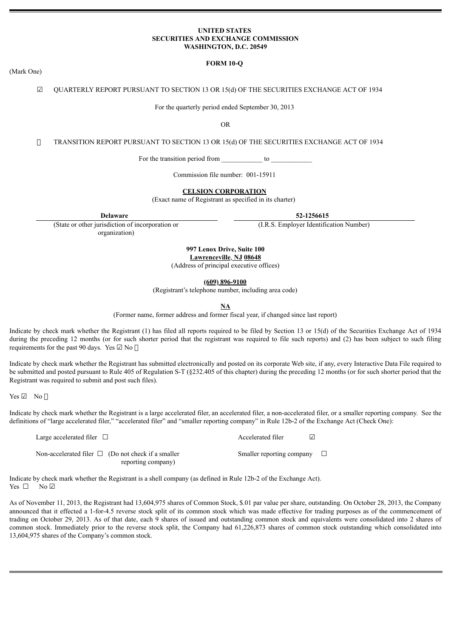## **UNITED STATES SECURITIES AND EXCHANGE COMMISSION WASHINGTON, D.C. 20549**

### **FORM 10-Q**

(Mark One)

☑ QUARTERLY REPORT PURSUANT TO SECTION 13 OR 15(d) OF THE SECURITIES EXCHANGE ACT OF 1934

For the quarterly period ended September 30, 2013

OR

TRANSITION REPORT PURSUANT TO SECTION 13 OR 15(d) OF THE SECURITIES EXCHANGE ACT OF 1934

For the transition period from \_\_\_\_\_\_\_\_\_\_\_\_ to \_\_\_\_\_\_\_\_\_\_\_\_

Commission file number: 001-15911

**CELSION CORPORATION**

(Exact name of Registrant as specified in its charter)

(State or other jurisdiction of incorporation or

organization)

**Delaware 52-1256615**

(I.R.S. Employer Identification Number)

**997 Lenox Drive, Suite 100 Lawrenceville**, **NJ 08648**

(Address of principal executive offices)

**(609) 896-9100**

(Registrant's telephone number, including area code)

**NA**

(Former name, former address and former fiscal year, if changed since last report)

Indicate by check mark whether the Registrant (1) has filed all reports required to be filed by Section 13 or 15(d) of the Securities Exchange Act of 1934 during the preceding 12 months (or for such shorter period that the registrant was required to file such reports) and (2) has been subject to such filing requirements for the past 90 days. Yes  $\boxtimes$  No  $\Box$ 

Indicate by check mark whether the Registrant has submitted electronically and posted on its corporate Web site, if any, every Interactive Data File required to be submitted and posted pursuant to Rule 405 of Regulation S-T (§232.405 of this chapter) during the preceding 12 months (or for such shorter period that the Registrant was required to submit and post such files).

Yes ☑ No

Indicate by check mark whether the Registrant is a large accelerated filer, an accelerated filer, a non-accelerated filer, or a smaller reporting company. See the definitions of "large accelerated filer," "accelerated filer" and "smaller reporting company" in Rule 12b-2 of the Exchange Act (Check One):

| Large accelerated filer $\Box$                          | Accelerated filer<br>M           |  |
|---------------------------------------------------------|----------------------------------|--|
| Non-accelerated filer $\Box$ (Do not check if a smaller | Smaller reporting company $\Box$ |  |
| reporting company)                                      |                                  |  |

Indicate by check mark whether the Registrant is a shell company (as defined in Rule 12b-2 of the Exchange Act). Yes  $□$  No  $□$ 

As of November 11, 2013, the Registrant had 13,604,975 shares of Common Stock, \$.01 par value per share, outstanding. On October 28, 2013, the Company announced that it effected a 1-for-4.5 reverse stock split of its common stock which was made effective for trading purposes as of the commencement of trading on October 29, 2013. As of that date, each 9 shares of issued and outstanding common stock and equivalents were consolidated into 2 shares of common stock. Immediately prior to the reverse stock split, the Company had 61,226,873 shares of common stock outstanding which consolidated into 13,604,975 shares of the Company's common stock.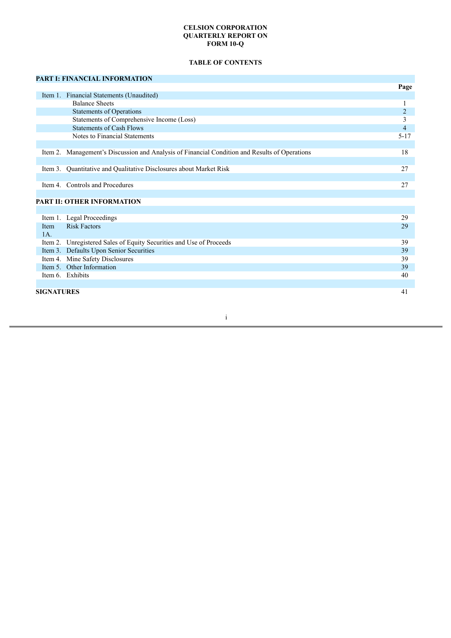## **CELSION CORPORATION QUARTERLY REPORT ON FORM 10-Q**

# **TABLE OF CONTENTS**

|                   | <b>PART I: FINANCIAL INFORMATION</b>                                                          |                |
|-------------------|-----------------------------------------------------------------------------------------------|----------------|
|                   |                                                                                               | Page           |
|                   | Item 1. Financial Statements (Unaudited)                                                      |                |
|                   | <b>Balance Sheets</b>                                                                         |                |
|                   | <b>Statements of Operations</b>                                                               | $\overline{2}$ |
|                   | Statements of Comprehensive Income (Loss)                                                     | 3              |
|                   | <b>Statements of Cash Flows</b>                                                               | $\overline{4}$ |
|                   | Notes to Financial Statements                                                                 | $5 - 17$       |
|                   |                                                                                               |                |
|                   | Item 2. Management's Discussion and Analysis of Financial Condition and Results of Operations | 18             |
|                   | Item 3. Quantitative and Qualitative Disclosures about Market Risk                            | 27             |
|                   |                                                                                               |                |
|                   | Item 4. Controls and Procedures                                                               | 27             |
|                   |                                                                                               |                |
|                   | <b>PART II: OTHER INFORMATION</b>                                                             |                |
|                   |                                                                                               |                |
|                   | Item 1. Legal Proceedings                                                                     | 29             |
| Item<br>$1A$ .    | <b>Risk Factors</b>                                                                           | 29             |
| Item 2.           | Unregistered Sales of Equity Securities and Use of Proceeds                                   | 39             |
|                   | Item 3. Defaults Upon Senior Securities                                                       | 39             |
|                   | Item 4. Mine Safety Disclosures                                                               | 39             |
|                   | Item 5. Other Information                                                                     | 39             |
|                   | Item 6. Exhibits                                                                              | 40             |
|                   |                                                                                               |                |
| <b>SIGNATURES</b> |                                                                                               | 41             |

i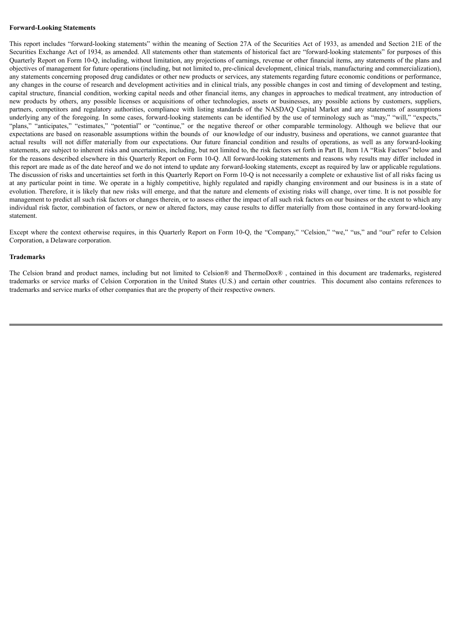## **Forward-Looking Statements**

This report includes "forward-looking statements" within the meaning of Section 27A of the Securities Act of 1933, as amended and Section 21E of the Securities Exchange Act of 1934, as amended. All statements other than statements of historical fact are "forward-looking statements" for purposes of this Quarterly Report on Form 10-Q, including, without limitation, any projections of earnings, revenue or other financial items, any statements of the plans and objectives of management for future operations (including, but not limited to, pre-clinical development, clinical trials, manufacturing and commercialization), any statements concerning proposed drug candidates or other new products or services, any statements regarding future economic conditions or performance, any changes in the course of research and development activities and in clinical trials, any possible changes in cost and timing of development and testing, capital structure, financial condition, working capital needs and other financial items, any changes in approaches to medical treatment, any introduction of new products by others, any possible licenses or acquisitions of other technologies, assets or businesses, any possible actions by customers, suppliers, partners, competitors and regulatory authorities, compliance with listing standards of the NASDAQ Capital Market and any statements of assumptions underlying any of the foregoing. In some cases, forward-looking statements can be identified by the use of terminology such as "may," "will," "expects," "plans," "anticipates," "estimates," "potential" or "continue," or the negative thereof or other comparable terminology. Although we believe that our expectations are based on reasonable assumptions within the bounds of our knowledge of our industry, business and operations, we cannot guarantee that actual results will not differ materially from our expectations. Our future financial condition and results of operations, as well as any forward-looking statements, are subject to inherent risks and uncertainties, including, but not limited to, the risk factors set forth in Part II, Item 1A "Risk Factors" below and for the reasons described elsewhere in this Quarterly Report on Form 10-Q. All forward-looking statements and reasons why results may differ included in this report are made as of the date hereof and we do not intend to update any forward-looking statements, except as required by law or applicable regulations. The discussion of risks and uncertainties set forth in this Quarterly Report on Form 10-Q is not necessarily a complete or exhaustive list of all risks facing us at any particular point in time. We operate in a highly competitive, highly regulated and rapidly changing environment and our business is in a state of evolution. Therefore, it is likely that new risks will emerge, and that the nature and elements of existing risks will change, over time. It is not possible for management to predict all such risk factors or changes therein, or to assess either the impact of all such risk factors on our business or the extent to which any individual risk factor, combination of factors, or new or altered factors, may cause results to differ materially from those contained in any forward-looking statement.

Except where the context otherwise requires, in this Quarterly Report on Form 10-Q, the "Company," "Celsion," "we," "us," and "our" refer to Celsion Corporation, a Delaware corporation.

#### **Trademarks**

The Celsion brand and product names, including but not limited to Celsion® and ThermoDox® , contained in this document are trademarks, registered trademarks or service marks of Celsion Corporation in the United States (U.S.) and certain other countries. This document also contains references to trademarks and service marks of other companies that are the property of their respective owners.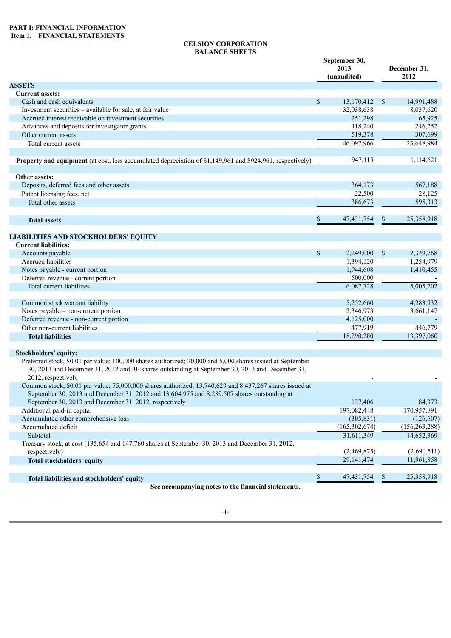## **PART I: FINANCIAL INFORMATION Item 1. FINANCIAL STATEMENTS**

# **CELSION CORPORATION BALANCE SHEETS**

|                                                                                                                                                                                                                                     |                    | September 30,<br>2013<br>(unaudited) |               | December 31,<br>2012 |
|-------------------------------------------------------------------------------------------------------------------------------------------------------------------------------------------------------------------------------------|--------------------|--------------------------------------|---------------|----------------------|
| <b>ASSETS</b>                                                                                                                                                                                                                       |                    |                                      |               |                      |
| <b>Current assets:</b>                                                                                                                                                                                                              |                    |                                      |               |                      |
| Cash and cash equivalents                                                                                                                                                                                                           | \$                 | 13,170,412                           | $\mathcal{S}$ | 14,991,488           |
| Investment securities – available for sale, at fair value                                                                                                                                                                           |                    | 32,038,638                           |               | 8,037,620            |
| Accrued interest receivable on investment securities                                                                                                                                                                                |                    | 251,298                              |               | 65,925               |
| Advances and deposits for investigator grants                                                                                                                                                                                       |                    | 118,240                              |               | 246,252              |
| Other current assets                                                                                                                                                                                                                |                    | 519,378                              |               | 307,699              |
| Total current assets                                                                                                                                                                                                                |                    | 46,097,966                           |               | 23,648,984           |
| <b>Property and equipment</b> (at cost, less accumulated depreciation of \$1,149,961 and \$924,961, respectively)                                                                                                                   |                    | 947,115                              |               | 1,114,621            |
| Other assets:                                                                                                                                                                                                                       |                    |                                      |               |                      |
| Deposits, deferred fees and other assets                                                                                                                                                                                            |                    | 364,173                              |               | 567,188              |
| Patent licensing fees, net                                                                                                                                                                                                          |                    | 22,500                               |               | 28,125               |
| Total other assets                                                                                                                                                                                                                  |                    | 386,673                              |               | 595,313              |
| <b>Total assets</b>                                                                                                                                                                                                                 | \$                 | 47,431,754                           | \$            | 25,358,918           |
| <b>LIABILITIES AND STOCKHOLDERS' EQUITY</b>                                                                                                                                                                                         |                    |                                      |               |                      |
| <b>Current liabilities:</b>                                                                                                                                                                                                         |                    |                                      |               |                      |
| Accounts payable                                                                                                                                                                                                                    | $\mathbf{\hat{S}}$ | 2,249,000                            | $^{\circ}$    | 2,339,768            |
| <b>Accrued liabilities</b>                                                                                                                                                                                                          |                    | 1,394,120                            |               | 1,254,979            |
| Notes payable - current portion                                                                                                                                                                                                     |                    | 1,944,608                            |               | 1,410,455            |
| Deferred revenue - current portion                                                                                                                                                                                                  |                    | 500,000                              |               |                      |
| Total current liabilities                                                                                                                                                                                                           |                    | 6,087,728                            |               | 5,005,202            |
| Common stock warrant liability                                                                                                                                                                                                      |                    | 5,252,660                            |               | 4,283,932            |
| Notes payable - non-current portion                                                                                                                                                                                                 |                    | 2,346,973                            |               | 3,661,147            |
| Deferred revenue - non-current portion                                                                                                                                                                                              |                    | 4,125,000                            |               |                      |
| Other non-current liabilities                                                                                                                                                                                                       |                    | 477,919                              |               | 446,779              |
| <b>Total liabilities</b>                                                                                                                                                                                                            |                    | 18,290,280                           |               | 13,397,060           |
| Stockholders' equity:                                                                                                                                                                                                               |                    |                                      |               |                      |
| Preferred stock, \$0.01 par value: 100,000 shares authorized; 20,000 and 5,000 shares issued at September<br>30, 2013 and December 31, 2012 and -0- shares outstanding at September 30, 2013 and December 31,<br>2012, respectively |                    |                                      |               |                      |
| Common stock, \$0.01 par value; 75,000,000 shares authorized; 13,740,629 and 8,437,267 shares issued at<br>September 30, 2013 and December 31, 2012 and 13,604,975 and 8,289,507 shares outstanding at                              |                    |                                      |               |                      |
| September 30, 2013 and December 31, 2012, respectively                                                                                                                                                                              |                    | 137,406                              |               | 84,373               |
| Additional paid-in capital                                                                                                                                                                                                          |                    | 197,082,448                          |               | 170,957,891          |
| Accumulated other comprehensive loss                                                                                                                                                                                                |                    | (305, 831)                           |               | (126, 607)           |
| Accumulated deficit                                                                                                                                                                                                                 |                    | (165, 302, 674)                      |               | (156, 263, 288)      |
| Subtotal                                                                                                                                                                                                                            |                    | 31,611,349                           |               | 14,652,369           |
| Treasury stock, at cost (135,654 and 147,760 shares at September 30, 2013 and December 31, 2012,<br>respectively)                                                                                                                   |                    | (2,469,875)                          |               | (2,690,511)          |
| <b>Total stockholders' equity</b>                                                                                                                                                                                                   |                    | 29, 141, 474                         |               | 11,961,858           |
|                                                                                                                                                                                                                                     |                    |                                      |               |                      |
| Total liabilities and stockholders' equity                                                                                                                                                                                          | \$                 | 47, 431, 754                         | \$            | 25,358,918           |
| See accompanying notes to the financial statements.                                                                                                                                                                                 |                    |                                      |               |                      |

-1-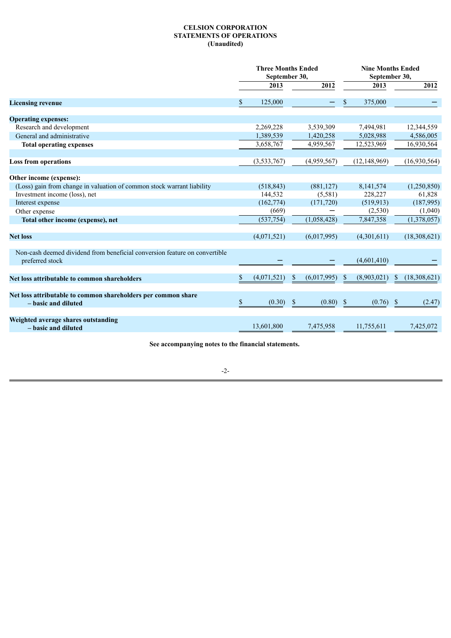## **CELSION CORPORATION STATEMENTS OF OPERATIONS (Unaudited)**

|                                                                                               | <b>Three Months Ended</b><br>September 30, |             |                           |             |               | <b>Nine Months Ended</b><br>September 30, |               |              |
|-----------------------------------------------------------------------------------------------|--------------------------------------------|-------------|---------------------------|-------------|---------------|-------------------------------------------|---------------|--------------|
|                                                                                               |                                            | 2013        |                           | 2012        |               | 2013                                      |               | 2012         |
| <b>Licensing revenue</b>                                                                      | \$                                         | 125,000     |                           |             | \$            | 375,000                                   |               |              |
| <b>Operating expenses:</b>                                                                    |                                            |             |                           |             |               |                                           |               |              |
| Research and development                                                                      |                                            | 2,269,228   |                           | 3,539,309   |               | 7,494,981                                 |               | 12,344,559   |
| General and administrative                                                                    |                                            | 1,389,539   |                           | 1,420,258   |               | 5,028,988                                 |               | 4,586,005    |
| <b>Total operating expenses</b>                                                               |                                            | 3,658,767   |                           | 4,959,567   |               | 12,523,969                                |               | 16,930,564   |
| <b>Loss from operations</b>                                                                   |                                            | (3,533,767) |                           | (4,959,567) |               | (12, 148, 969)                            |               | (16,930,564) |
| Other income (expense):                                                                       |                                            |             |                           |             |               |                                           |               |              |
| (Loss) gain from change in valuation of common stock warrant liability                        |                                            | (518, 843)  |                           | (881, 127)  |               | 8,141,574                                 |               | (1,250,850)  |
| Investment income (loss), net                                                                 |                                            | 144,532     |                           | (5,581)     |               | 228,227                                   |               | 61,828       |
| Interest expense                                                                              |                                            | (162, 774)  |                           | (171, 720)  |               | (519, 913)                                |               | (187,995)    |
| Other expense                                                                                 |                                            | (669)       |                           |             |               | (2,530)                                   |               | (1,040)      |
| Total other income (expense), net                                                             |                                            | (537,754)   |                           | (1,058,428) |               | 7,847,358                                 |               | (1,378,057)  |
| <b>Net loss</b>                                                                               |                                            | (4,071,521) |                           | (6,017,995) |               | (4,301,611)                               |               | (18,308,621) |
| Non-cash deemed dividend from beneficial conversion feature on convertible<br>preferred stock |                                            |             |                           |             |               | (4,601,410)                               |               |              |
| Net loss attributable to common shareholders                                                  | \$                                         | (4,071,521) | S                         | (6,017,995) | <sup>\$</sup> | (8,903,021)                               | <sup>\$</sup> | (18,308,621) |
| Net loss attributable to common shareholders per common share<br>- basic and diluted          | \$                                         | (0.30)      | $\boldsymbol{\mathsf{S}}$ | $(0.80)$ \$ |               | $(0.76)$ \$                               |               | (2.47)       |
| Weighted average shares outstanding<br>- basic and diluted                                    |                                            | 13,601,800  |                           | 7,475,958   |               | 11,755,611                                |               | 7,425,072    |

**See accompanying notes to the financial statements.**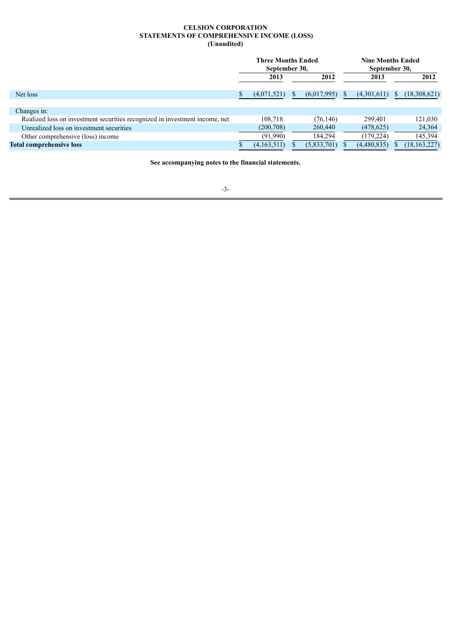### **CELSION CORPORATION STATEMENTS OF COMPREHENSIVE INCOME (LOSS) (Unaudited)**

|                                                                             | <b>Three Months Ended</b><br>September 30, |             |  |             |  |             | <b>Nine Months Ended</b><br>September 30, |                |  |
|-----------------------------------------------------------------------------|--------------------------------------------|-------------|--|-------------|--|-------------|-------------------------------------------|----------------|--|
|                                                                             | 2012<br>2013                               |             |  | 2013        |  | 2012        |                                           |                |  |
| Net loss                                                                    |                                            | (4,071,521) |  | (6,017,995) |  | (4,301,611) |                                           | (18,308,621)   |  |
| Changes in:                                                                 |                                            |             |  |             |  |             |                                           |                |  |
| Realized loss on investment securities recognized in investment income, net |                                            | 108.718     |  | (76, 146)   |  | 299.401     |                                           | 121,030        |  |
| Unrealized loss on investment securities                                    |                                            | (200, 708)  |  | 260,440     |  | (478, 625)  |                                           | 24,364         |  |
| Other comprehensive (loss) income                                           |                                            | (91,990)    |  | 184,294     |  | (179, 224)  |                                           | 145,394        |  |
| <b>Total comprehensive loss</b>                                             |                                            | (4,163,511) |  | (5,833,701) |  | (4,480,835) |                                           | (18, 163, 227) |  |

**See accompanying notes to the financial statements.**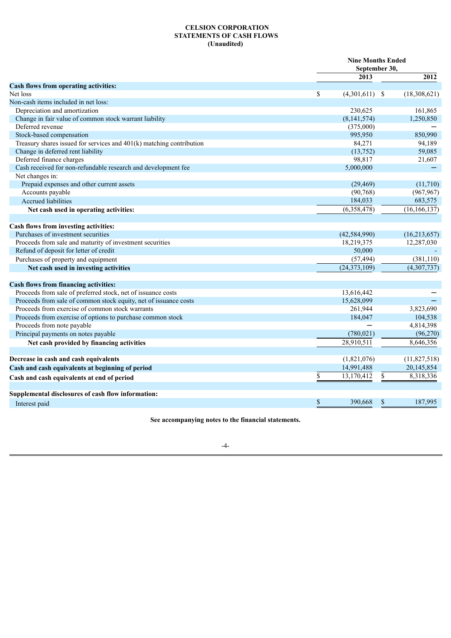## **CELSION CORPORATION STATEMENTS OF CASH FLOWS (Unaudited)**

|                                                                        | <b>Nine Months Ended</b><br>September 30, |    |                |  |  |  |
|------------------------------------------------------------------------|-------------------------------------------|----|----------------|--|--|--|
|                                                                        |                                           |    |                |  |  |  |
| Cash flows from operating activities:                                  | 2013                                      |    | 2012           |  |  |  |
| Net loss                                                               | \$<br>$(4,301,611)$ \$                    |    | (18,308,621)   |  |  |  |
| Non-cash items included in net loss:                                   |                                           |    |                |  |  |  |
| Depreciation and amortization                                          | 230,625                                   |    | 161,865        |  |  |  |
| Change in fair value of common stock warrant liability                 | (8, 141, 574)                             |    | 1,250,850      |  |  |  |
| Deferred revenue                                                       | (375,000)                                 |    |                |  |  |  |
| Stock-based compensation                                               | 995,950                                   |    | 850,990        |  |  |  |
| Treasury shares issued for services and $401(k)$ matching contribution | 84,271                                    |    | 94,189         |  |  |  |
| Change in deferred rent liability                                      | (13,752)                                  |    | 59,085         |  |  |  |
| Deferred finance charges                                               | 98,817                                    |    | 21,607         |  |  |  |
| Cash received for non-refundable research and development fee          | 5.000,000                                 |    |                |  |  |  |
| Net changes in:                                                        |                                           |    |                |  |  |  |
| Prepaid expenses and other current assets                              | (29, 469)                                 |    | (11,710)       |  |  |  |
| Accounts payable                                                       | (90, 768)                                 |    | (967, 967)     |  |  |  |
| Accrued liabilities                                                    | 184,033                                   |    | 683,575        |  |  |  |
| Net cash used in operating activities:                                 | (6,358,478)                               |    | (16, 166, 137) |  |  |  |
|                                                                        |                                           |    |                |  |  |  |
| Cash flows from investing activities:                                  |                                           |    |                |  |  |  |
| Purchases of investment securities                                     | (42, 584, 990)                            |    | (16,213,657)   |  |  |  |
| Proceeds from sale and maturity of investment securities               | 18,219,375                                |    | 12,287,030     |  |  |  |
| Refund of deposit for letter of credit                                 | 50,000                                    |    |                |  |  |  |
| Purchases of property and equipment                                    | (57, 494)                                 |    | (381, 110)     |  |  |  |
| Net cash used in investing activities                                  | (24, 373, 109)                            |    | (4,307,737)    |  |  |  |
| <b>Cash flows from financing activities:</b>                           |                                           |    |                |  |  |  |
| Proceeds from sale of preferred stock, net of issuance costs           | 13,616,442                                |    |                |  |  |  |
| Proceeds from sale of common stock equity, net of issuance costs       | 15,628,099                                |    |                |  |  |  |
| Proceeds from exercise of common stock warrants                        | 261,944                                   |    | 3,823,690      |  |  |  |
| Proceeds from exercise of options to purchase common stock             | 184,047                                   |    | 104,538        |  |  |  |
| Proceeds from note payable                                             |                                           |    | 4,814,398      |  |  |  |
| Principal payments on notes payable                                    | (780, 021)                                |    | (96, 270)      |  |  |  |
| Net cash provided by financing activities                              | 28,910,511                                |    | 8,646,356      |  |  |  |
|                                                                        | (1,821,076)                               |    |                |  |  |  |
| Decrease in cash and cash equivalents                                  |                                           |    | (11, 827, 518) |  |  |  |
| Cash and cash equivalents at beginning of period                       | 14,991,488                                |    | 20,145,854     |  |  |  |
| Cash and cash equivalents at end of period                             | \$<br>13,170,412                          | \$ | 8,318,336      |  |  |  |
| Supplemental disclosures of cash flow information:                     |                                           |    |                |  |  |  |
| Interest paid                                                          | \$<br>390,668                             | \$ | 187,995        |  |  |  |
|                                                                        |                                           |    |                |  |  |  |

**See accompanying notes to the financial statements.**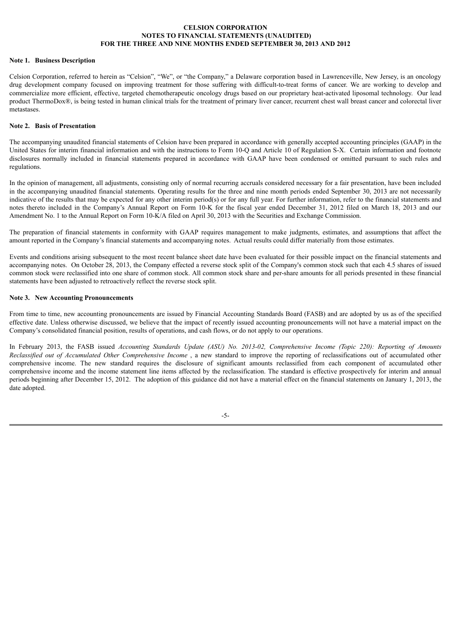## **CELSION CORPORATION NOTES TO FINANCIAL STATEMENTS (UNAUDITED) FOR THE THREE AND NINE MONTHS ENDED SEPTEMBER 30, 2013 AND 2012**

#### **Note 1. Business Description**

Celsion Corporation, referred to herein as "Celsion", "We", or "the Company," a Delaware corporation based in Lawrenceville, New Jersey, is an oncology drug development company focused on improving treatment for those suffering with difficult-to-treat forms of cancer. We are working to develop and commercialize more efficient, effective, targeted chemotherapeutic oncology drugs based on our proprietary heat-activated liposomal technology. Our lead product ThermoDox®, is being tested in human clinical trials for the treatment of primary liver cancer, recurrent chest wall breast cancer and colorectal liver metastases.

### **Note 2. Basis of Presentation**

The accompanying unaudited financial statements of Celsion have been prepared in accordance with generally accepted accounting principles (GAAP) in the United States for interim financial information and with the instructions to Form 10-Q and Article 10 of Regulation S-X. Certain information and footnote disclosures normally included in financial statements prepared in accordance with GAAP have been condensed or omitted pursuant to such rules and regulations.

In the opinion of management, all adjustments, consisting only of normal recurring accruals considered necessary for a fair presentation, have been included in the accompanying unaudited financial statements. Operating results for the three and nine month periods ended September 30, 2013 are not necessarily indicative of the results that may be expected for any other interim period(s) or for any full year. For further information, refer to the financial statements and notes thereto included in the Company's Annual Report on Form 10-K for the fiscal year ended December 31, 2012 filed on March 18, 2013 and our Amendment No. 1 to the Annual Report on Form 10-K/A filed on April 30, 2013 with the Securities and Exchange Commission.

The preparation of financial statements in conformity with GAAP requires management to make judgments, estimates, and assumptions that affect the amount reported in the Company's financial statements and accompanying notes. Actual results could differ materially from those estimates.

Events and conditions arising subsequent to the most recent balance sheet date have been evaluated for their possible impact on the financial statements and accompanying notes. On October 28, 2013, the Company effected a reverse stock split of the Company's common stock such that each 4.5 shares of issued common stock were reclassified into one share of common stock. All common stock share and per-share amounts for all periods presented in these financial statements have been adjusted to retroactively reflect the reverse stock split.

#### **Note 3. New Accounting Pronouncements**

From time to time, new accounting pronouncements are issued by Financial Accounting Standards Board (FASB) and are adopted by us as of the specified effective date. Unless otherwise discussed, we believe that the impact of recently issued accounting pronouncements will not have a material impact on the Company's consolidated financial position, results of operations, and cash flows, or do not apply to our operations.

In February 2013, the FASB issued Accounting Standards Update (ASU) No. 2013-02, Comprehensive Income (Topic 220): Reporting of Amounts *Reclassified out of Accumulated Other Comprehensive Income* , a new standard to improve the reporting of reclassifications out of accumulated other comprehensive income. The new standard requires the disclosure of significant amounts reclassified from each component of accumulated other comprehensive income and the income statement line items affected by the reclassification. The standard is effective prospectively for interim and annual periods beginning after December 15, 2012. The adoption of this guidance did not have a material effect on the financial statements on January 1, 2013, the date adopted.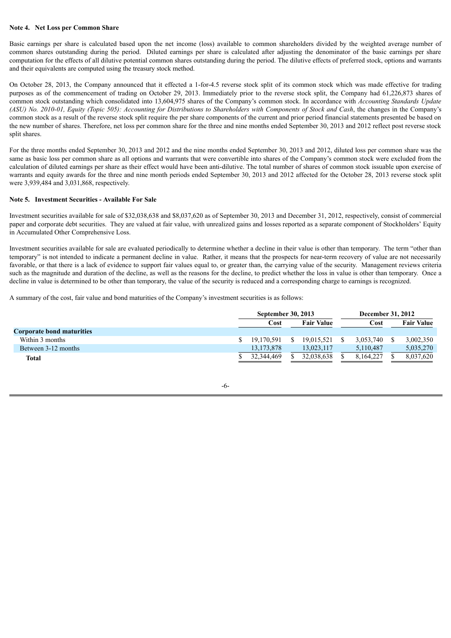#### **Note 4. Net Loss per Common Share**

Basic earnings per share is calculated based upon the net income (loss) available to common shareholders divided by the weighted average number of common shares outstanding during the period. Diluted earnings per share is calculated after adjusting the denominator of the basic earnings per share computation for the effects of all dilutive potential common shares outstanding during the period. The dilutive effects of preferred stock, options and warrants and their equivalents are computed using the treasury stock method.

On October 28, 2013, the Company announced that it effected a 1-for-4.5 reverse stock split of its common stock which was made effective for trading purposes as of the commencement of trading on October 29, 2013. Immediately prior to the reverse stock split, the Company had 61,226,873 shares of common stock outstanding which consolidated into 13,604,975 shares of the Company's common stock. In accordance with *Accounting Standards Update* (ASU) No. 2010-01, Equity (Topic 505): Accounting for Distributions to Shareholders with Components of Stock and Cash, the changes in the Company's common stock as a result of the reverse stock split require the per share components of the current and prior period financial statements presented be based on the new number of shares. Therefore, net loss per common share for the three and nine months ended September 30, 2013 and 2012 reflect post reverse stock split shares.

For the three months ended September 30, 2013 and 2012 and the nine months ended September 30, 2013 and 2012, diluted loss per common share was the same as basic loss per common share as all options and warrants that were convertible into shares of the Company's common stock were excluded from the calculation of diluted earnings per share as their effect would have been anti-dilutive. The total number of shares of common stock issuable upon exercise of warrants and equity awards for the three and nine month periods ended September 30, 2013 and 2012 affected for the October 28, 2013 reverse stock split were 3,939,484 and 3,031,868, respectively.

## **Note 5. Investment Securities - Available For Sale**

Investment securities available for sale of \$32,038,638 and \$8,037,620 as of September 30, 2013 and December 31, 2012, respectively, consist of commercial paper and corporate debt securities. They are valued at fair value, with unrealized gains and losses reported as a separate component of Stockholders' Equity in Accumulated Other Comprehensive Loss.

Investment securities available for sale are evaluated periodically to determine whether a decline in their value is other than temporary. The term "other than temporary" is not intended to indicate a permanent decline in value. Rather, it means that the prospects for near-term recovery of value are not necessarily favorable, or that there is a lack of evidence to support fair values equal to, or greater than, the carrying value of the security. Management reviews criteria such as the magnitude and duration of the decline, as well as the reasons for the decline, to predict whether the loss in value is other than temporary. Once a decline in value is determined to be other than temporary, the value of the security is reduced and a corresponding charge to earnings is recognized.

A summary of the cost, fair value and bond maturities of the Company's investment securities is as follows:

|                                  | <b>September 30, 2013</b> |              |  |                   |           | <b>December 31, 2012</b> |                   |
|----------------------------------|---------------------------|--------------|--|-------------------|-----------|--------------------------|-------------------|
|                                  |                           | Cost         |  | <b>Fair Value</b> | Cost      |                          | <b>Fair Value</b> |
| <b>Corporate bond maturities</b> |                           |              |  |                   |           |                          |                   |
| Within 3 months                  |                           | 19.170.591   |  | 19.015.521        | 3.053.740 |                          | 3,002,350         |
| Between 3-12 months              |                           | 13, 173, 878 |  | 13,023,117        | 5.110.487 |                          | 5,035,270         |
| Total                            |                           | 32.344.469   |  | 32,038,638        | 8.164.227 |                          | 8,037,620         |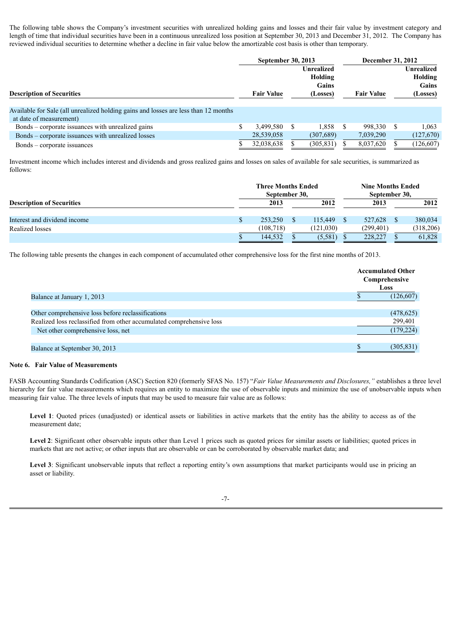The following table shows the Company's investment securities with unrealized holding gains and losses and their fair value by investment category and length of time that individual securities have been in a continuous unrealized loss position at September 30, 2013 and December 31, 2012. The Company has reviewed individual securities to determine whether a decline in fair value below the amortizable cost basis is other than temporary.

|                                                                                                                | September 30, 2013 |                   |     | December 31, 2012                     |                   |                                |
|----------------------------------------------------------------------------------------------------------------|--------------------|-------------------|-----|---------------------------------------|-------------------|--------------------------------|
|                                                                                                                |                    |                   |     | <b>Unrealized</b><br>Holding<br>Gains |                   | Unrealized<br>Holding<br>Gains |
| <b>Description of Securities</b>                                                                               |                    | <b>Fair Value</b> |     | (Losses)                              | <b>Fair Value</b> | (Losses)                       |
| Available for Sale (all unrealized holding gains and losses are less than 12 months<br>at date of measurement) |                    |                   |     |                                       |                   |                                |
| Bonds – corporate issuances with unrealized gains                                                              |                    | 3,499,580         | \$. | 1.858                                 | 998,330           | 1.063                          |
| Bonds – corporate issuances with unrealized losses                                                             |                    | 28,539,058        |     | (307,689)                             | 7,039,290         | (127, 670)                     |
| Bonds – corporate issuances                                                                                    |                    | 32,038,638        |     | (305, 831)                            | 8,037,620         | (126, 607)                     |

Investment income which includes interest and dividends and gross realized gains and losses on sales of available for sale securities, is summarized as follows:

|                                  |    | <b>Three Months Ended</b><br>September 30, |  |            |  |            |  | <b>Nine Months Ended</b><br>September 30, |
|----------------------------------|----|--------------------------------------------|--|------------|--|------------|--|-------------------------------------------|
| <b>Description of Securities</b> |    | 2013                                       |  | 2012       |  | 2013       |  | 2012                                      |
| Interest and dividend income     | \$ | 253,250                                    |  | 115,449    |  | 527.628    |  | 380,034                                   |
| Realized losses                  |    | (108, 718)                                 |  | (121, 030) |  | (299, 401) |  | (318, 206)                                |
|                                  |    | 144,532                                    |  | (5,581)    |  | 228,227    |  | 61,828                                    |

The following table presents the changes in each component of accumulated other comprehensive loss for the first nine months of 2013.

|                                                                      | <b>Accumulated Other</b><br>Comprehensive |            |
|----------------------------------------------------------------------|-------------------------------------------|------------|
|                                                                      | Loss                                      |            |
| Balance at January 1, 2013                                           |                                           | (126, 607) |
|                                                                      |                                           |            |
| Other comprehensive loss before reclassifications                    |                                           | (478, 625) |
| Realized loss reclassified from other accumulated comprehensive loss |                                           | 299,401    |
| Net other comprehensive loss, net                                    |                                           | (179, 224) |
|                                                                      |                                           |            |
| Balance at September 30, 2013                                        |                                           | (305, 831) |

#### **Note 6. Fair Value of Measurements**

FASB Accounting Standards Codification (ASC) Section 820 (formerly SFAS No. 157) "*Fair Value Measurements and Disclosures,"* establishes a three level hierarchy for fair value measurements which requires an entity to maximize the use of observable inputs and minimize the use of unobservable inputs when measuring fair value. The three levels of inputs that may be used to measure fair value are as follows:

Level 1: Quoted prices (unadjusted) or identical assets or liabilities in active markets that the entity has the ability to access as of the measurement date;

Level 2: Significant other observable inputs other than Level 1 prices such as quoted prices for similar assets or liabilities; quoted prices in markets that are not active; or other inputs that are observable or can be corroborated by observable market data; and

Level 3: Significant unobservable inputs that reflect a reporting entity's own assumptions that market participants would use in pricing an asset or liability.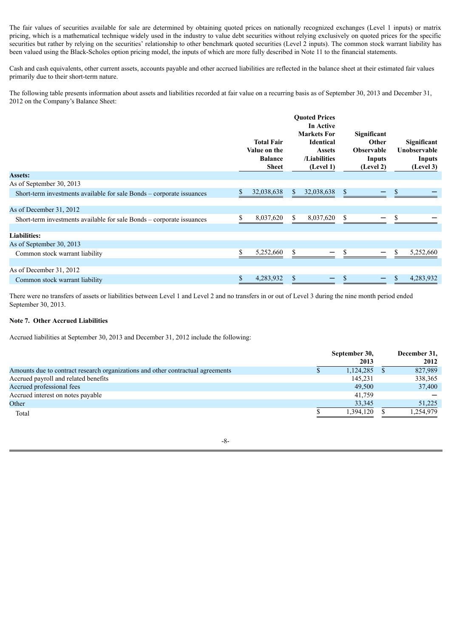The fair values of securities available for sale are determined by obtaining quoted prices on nationally recognized exchanges (Level 1 inputs) or matrix pricing, which is a mathematical technique widely used in the industry to value debt securities without relying exclusively on quoted prices for the specific securities but rather by relying on the securities' relationship to other benchmark quoted securities (Level 2 inputs). The common stock warrant liability has been valued using the Black-Scholes option pricing model, the inputs of which are more fully described in Note 11 to the financial statements.

Cash and cash equivalents, other current assets, accounts payable and other accrued liabilities are reflected in the balance sheet at their estimated fair values primarily due to their short-term nature.

The following table presents information about assets and liabilities recorded at fair value on a recurring basis as of September 30, 2013 and December 31, 2012 on the Company's Balance Sheet:

|                                                                       |    | <b>Total Fair</b><br>Value on the<br><b>Balance</b><br><b>Sheet</b> |    | <b>Ouoted Prices</b><br>In Active<br><b>Markets For</b><br><b>Identical</b><br><b>Assets</b><br>/Liabilities<br>(Level 1) | Significant<br>Other<br><b>Observable</b><br>Inputs<br>(Level 2) |              | Significant<br>Unobservable<br>Inputs<br>(Level 3) |
|-----------------------------------------------------------------------|----|---------------------------------------------------------------------|----|---------------------------------------------------------------------------------------------------------------------------|------------------------------------------------------------------|--------------|----------------------------------------------------|
| <b>Assets:</b>                                                        |    |                                                                     |    |                                                                                                                           |                                                                  |              |                                                    |
| As of September 30, 2013                                              |    |                                                                     |    |                                                                                                                           |                                                                  |              |                                                    |
| Short-term investments available for sale Bonds – corporate issuances | S. | 32,038,638                                                          | \$ | 32,038,638                                                                                                                | \$                                                               | \$.          |                                                    |
| As of December 31, 2012                                               |    |                                                                     |    |                                                                                                                           |                                                                  |              |                                                    |
| Short-term investments available for sale Bonds – corporate issuances |    | 8,037,620                                                           | S. | 8,037,620                                                                                                                 | \$                                                               | S            |                                                    |
| <b>Liabilities:</b>                                                   |    |                                                                     |    |                                                                                                                           |                                                                  |              |                                                    |
| As of September 30, 2013                                              |    |                                                                     |    |                                                                                                                           |                                                                  |              |                                                    |
| Common stock warrant liability                                        |    | 5,252,660                                                           | \$ |                                                                                                                           | \$                                                               | S.           | 5,252,660                                          |
| As of December 31, 2012                                               |    |                                                                     |    |                                                                                                                           |                                                                  |              |                                                    |
| Common stock warrant liability                                        | S  | 4,283,932                                                           | S  |                                                                                                                           |                                                                  | <sup>S</sup> | 4,283,932                                          |

There were no transfers of assets or liabilities between Level 1 and Level 2 and no transfers in or out of Level 3 during the nine month period ended September 30, 2013.

## **Note 7. Other Accrued Liabilities**

Accrued liabilities at September 30, 2013 and December 31, 2012 include the following:

|                                                                                 | September 30, | December 31, |  |
|---------------------------------------------------------------------------------|---------------|--------------|--|
|                                                                                 | 2013          | 2012         |  |
| Amounts due to contract research organizations and other contractual agreements | 1,124,285     | 827,989      |  |
| Accrued payroll and related benefits                                            | 145.231       | 338,365      |  |
| Accrued professional fees                                                       | 49,500        | 37,400       |  |
| Accrued interest on notes payable                                               | 41.759        |              |  |
| Other                                                                           | 33,345        | 51,225       |  |
| Total                                                                           | 1.394.120     | 1,254,979    |  |
|                                                                                 |               |              |  |

-8-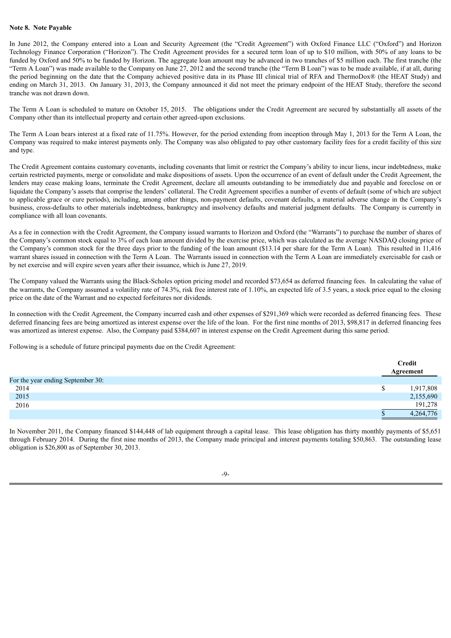## **Note 8. Note Payable**

In June 2012, the Company entered into a Loan and Security Agreement (the "Credit Agreement") with Oxford Finance LLC ("Oxford") and Horizon Technology Finance Corporation ("Horizon"). The Credit Agreement provides for a secured term loan of up to \$10 million, with 50% of any loans to be funded by Oxford and 50% to be funded by Horizon. The aggregate loan amount may be advanced in two tranches of \$5 million each. The first tranche (the "Term A Loan") was made available to the Company on June 27, 2012 and the second tranche (the "Term B Loan") was to be made available, if at all, during the period beginning on the date that the Company achieved positive data in its Phase III clinical trial of RFA and ThermoDox® (the HEAT Study) and ending on March 31, 2013. On January 31, 2013, the Company announced it did not meet the primary endpoint of the HEAT Study, therefore the second tranche was not drawn down.

The Term A Loan is scheduled to mature on October 15, 2015. The obligations under the Credit Agreement are secured by substantially all assets of the Company other than its intellectual property and certain other agreed-upon exclusions.

The Term A Loan bears interest at a fixed rate of 11.75%. However, for the period extending from inception through May 1, 2013 for the Term A Loan, the Company was required to make interest payments only. The Company was also obligated to pay other customary facility fees for a credit facility of this size and type.

The Credit Agreement contains customary covenants, including covenants that limit or restrict the Company's ability to incur liens, incur indebtedness, make certain restricted payments, merge or consolidate and make dispositions of assets. Upon the occurrence of an event of default under the Credit Agreement, the lenders may cease making loans, terminate the Credit Agreement, declare all amounts outstanding to be immediately due and payable and foreclose on or liquidate the Company's assets that comprise the lenders' collateral. The Credit Agreement specifies a number of events of default (some of which are subject to applicable grace or cure periods), including, among other things, non-payment defaults, covenant defaults, a material adverse change in the Company's business, cross-defaults to other materials indebtedness, bankruptcy and insolvency defaults and material judgment defaults. The Company is currently in compliance with all loan covenants.

As a fee in connection with the Credit Agreement, the Company issued warrants to Horizon and Oxford (the "Warrants") to purchase the number of shares of the Company's common stock equal to 3% of each loan amount divided by the exercise price, which was calculated as the average NASDAQ closing price of the Company's common stock for the three days prior to the funding of the loan amount (\$13.14 per share for the Term A Loan). This resulted in 11,416 warrant shares issued in connection with the Term A Loan. The Warrants issued in connection with the Term A Loan are immediately exercisable for cash or by net exercise and will expire seven years after their issuance, which is June 27, 2019.

The Company valued the Warrants using the Black-Scholes option pricing model and recorded \$73,654 as deferred financing fees. In calculating the value of the warrants, the Company assumed a volatility rate of 74.3%, risk free interest rate of 1.10%, an expected life of 3.5 years, a stock price equal to the closing price on the date of the Warrant and no expected forfeitures nor dividends.

In connection with the Credit Agreement, the Company incurred cash and other expenses of \$291,369 which were recorded as deferred financing fees. These deferred financing fees are being amortized as interest expense over the life of the loan. For the first nine months of 2013, \$98,817 in deferred financing fees was amortized as interest expense. Also, the Company paid \$384,607 in interest expense on the Credit Agreement during this same period.

Following is a schedule of future principal payments due on the Credit Agreement:

|                                   | <b>Credit</b><br>Agreement |
|-----------------------------------|----------------------------|
| For the year ending September 30: |                            |
| 2014                              | 1,917,808                  |
| 2015                              | 2,155,690                  |
| 2016                              | 191,278                    |
|                                   | 4,264,776                  |

In November 2011, the Company financed \$144,448 of lab equipment through a capital lease. This lease obligation has thirty monthly payments of \$5,651 through February 2014. During the first nine months of 2013, the Company made principal and interest payments totaling \$50,863. The outstanding lease obligation is \$26,800 as of September 30, 2013.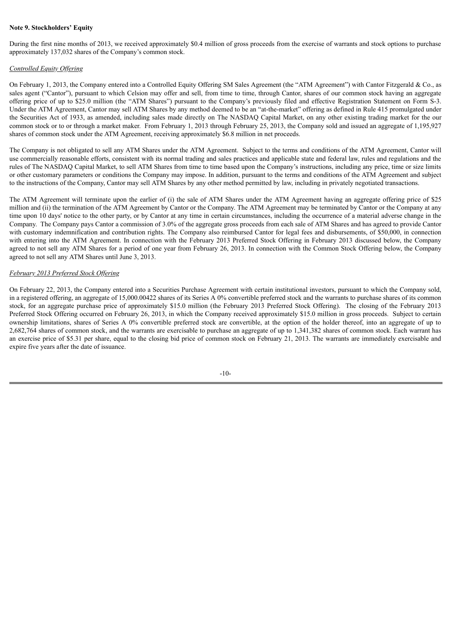## **Note 9. Stockholders' Equity**

During the first nine months of 2013, we received approximately \$0.4 million of gross proceeds from the exercise of warrants and stock options to purchase approximately 137,032 shares of the Company's common stock.

## *Controlled Equity Of ering*

On February 1, 2013, the Company entered into a Controlled Equity Offering SM Sales Agreement (the "ATM Agreement") with Cantor Fitzgerald & Co., as sales agent ("Cantor"), pursuant to which Celsion may offer and sell, from time to time, through Cantor, shares of our common stock having an aggregate offering price of up to \$25.0 million (the "ATM Shares") pursuant to the Company's previously filed and effective Registration Statement on Form S-3. Under the ATM Agreement, Cantor may sell ATM Shares by any method deemed to be an "at-the-market" offering as defined in Rule 415 promulgated under the Securities Act of 1933, as amended, including sales made directly on The NASDAQ Capital Market, on any other existing trading market for the our common stock or to or through a market maker. From February 1, 2013 through February 25, 2013, the Company sold and issued an aggregate of 1,195,927 shares of common stock under the ATM Agreement, receiving approximately \$6.8 million in net proceeds.

The Company is not obligated to sell any ATM Shares under the ATM Agreement. Subject to the terms and conditions of the ATM Agreement, Cantor will use commercially reasonable efforts, consistent with its normal trading and sales practices and applicable state and federal law, rules and regulations and the rules of The NASDAQ Capital Market, to sell ATM Shares from time to time based upon the Company's instructions, including any price, time or size limits or other customary parameters or conditions the Company may impose. In addition, pursuant to the terms and conditions of the ATM Agreement and subject to the instructions of the Company, Cantor may sell ATM Shares by any other method permitted by law, including in privately negotiated transactions.

The ATM Agreement will terminate upon the earlier of (i) the sale of ATM Shares under the ATM Agreement having an aggregate offering price of \$25 million and (ii) the termination of the ATM Agreement by Cantor or the Company. The ATM Agreement may be terminated by Cantor or the Company at any time upon 10 days' notice to the other party, or by Cantor at any time in certain circumstances, including the occurrence of a material adverse change in the Company. The Company pays Cantor a commission of 3.0% of the aggregate gross proceeds from each sale of ATM Shares and has agreed to provide Cantor with customary indemnification and contribution rights. The Company also reimbursed Cantor for legal fees and disbursements, of \$50,000, in connection with entering into the ATM Agreement. In connection with the February 2013 Preferred Stock Offering in February 2013 discussed below, the Company agreed to not sell any ATM Shares for a period of one year from February 26, 2013. In connection with the Common Stock Offering below, the Company agreed to not sell any ATM Shares until June 3, 2013.

## *February 2013 Preferred Stock Of ering*

On February 22, 2013, the Company entered into a Securities Purchase Agreement with certain institutional investors, pursuant to which the Company sold, in a registered offering, an aggregate of 15,000.00422 shares of its Series A 0% convertible preferred stock and the warrants to purchase shares of its common stock, for an aggregate purchase price of approximately \$15.0 million (the February 2013 Preferred Stock Offering). The closing of the February 2013 Preferred Stock Offering occurred on February 26, 2013, in which the Company received approximately \$15.0 million in gross proceeds. Subject to certain ownership limitations, shares of Series A 0% convertible preferred stock are convertible, at the option of the holder thereof, into an aggregate of up to 2,682,764 shares of common stock, and the warrants are exercisable to purchase an aggregate of up to 1,341,382 shares of common stock. Each warrant has an exercise price of \$5.31 per share, equal to the closing bid price of common stock on February 21, 2013. The warrants are immediately exercisable and expire five years after the date of issuance.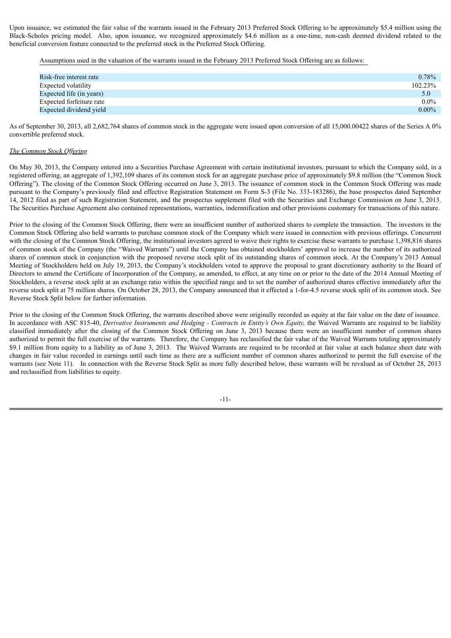Upon issuance, we estimated the fair value of the warrants issued in the February 2013 Preferred Stock Offering to be approximately \$5.4 million using the Black-Scholes pricing model. Also, upon issuance, we recognized approximately \$4.6 million as a one-time, non-cash deemed dividend related to the beneficial conversion feature connected to the preferred stock in the Preferred Stock Offering.

Assumptions used in the valuation of the warrants issued in the February 2013 Preferred Stock Offering are as follows:

| Risk-free interest rate  | $0.78\%$ |
|--------------------------|----------|
| Expected volatility      | 102.23%  |
| Expected life (in years) | 5.0      |
| Expected forfeiture rate | $0.0\%$  |
| Expected dividend yield  | $0.00\%$ |

As of September 30, 2013, all 2,682,764 shares of common stock in the aggregate were issued upon conversion of all 15,000.00422 shares of the Series A 0% convertible preferred stock.

#### *The Common Stock Of ering*

On May 30, 2013, the Company entered into a Securities Purchase Agreement with certain institutional investors, pursuant to which the Company sold, in a registered offering, an aggregate of 1,392,109 shares of its common stock for an aggregate purchase price of approximately \$9.8 million (the "Common Stock Offering"). The closing of the Common Stock Offering occurred on June 3, 2013. The issuance of common stock in the Common Stock Offering was made pursuant to the Company's previously filed and effective Registration Statement on Form S-3 (File No. 333-183286), the base prospectus dated September 14, 2012 filed as part of such Registration Statement, and the prospectus supplement filed with the Securities and Exchange Commission on June 3, 2013. The Securities Purchase Agreement also contained representations, warranties, indemnification and other provisions customary for transactions of this nature.

Prior to the closing of the Common Stock Offering, there were an insufficient number of authorized shares to complete the transaction. The investors in the Common Stock Offering also held warrants to purchase common stock of the Company which were issued in connection with previous offerings. Concurrent with the closing of the Common Stock Offering, the institutional investors agreed to waive their rights to exercise these warrants to purchase 1,398,816 shares of common stock of the Company (the "Waived Warrants") until the Company has obtained stockholders' approval to increase the number of its authorized shares of common stock in conjunction with the proposed reverse stock split of its outstanding shares of common stock. At the Company's 2013 Annual Meeting of Stockholders held on July 19, 2013, the Company's stockholders voted to approve the proposal to grant discretionary authority to the Board of Directors to amend the Certificate of Incorporation of the Company, as amended, to effect, at any time on or prior to the date of the 2014 Annual Meeting of Stockholders, a reverse stock split at an exchange ratio within the specified range and to set the number of authorized shares effective immediately after the reverse stock split at 75 million shares. On October 28, 2013, the Company announced that it effected a 1-for-4.5 reverse stock split of its common stock. See Reverse Stock Split below for further information.

Prior to the closing of the Common Stock Offering, the warrants described above were originally recorded as equity at the fair value on the date of issuance. In accordance with ASC 815-40, *Derivative Instruments and Hedging - Contracts in Entity's Own Equity,* the Waived Warrants are required to be liability classified immediately after the closing of the Common Stock Offering on June 3, 2013 because there were an insufficient number of common shares authorized to permit the full exercise of the warrants. Therefore, the Company has reclassified the fair value of the Waived Warrants totaling approximately \$9.1 million from equity to a liability as of June 3, 2013. The Waived Warrants are required to be recorded at fair value at each balance sheet date with changes in fair value recorded in earnings until such time as there are a sufficient number of common shares authorized to permit the full exercise of the warrants (see Note 11). In connection with the Reverse Stock Split as more fully described below, these warrants will be revalued as of October 28, 2013 and reclassified from liabilities to equity.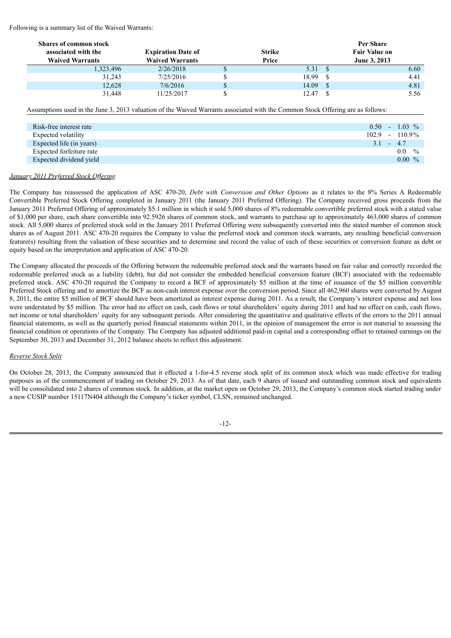Following is a summary list of the Waived Warrants:

| <b>Shares of common stock</b><br>associated with the<br><b>Waived Warrants</b> | <b>Expiration Date of</b><br><b>Waived Warrants</b> | <b>Strike</b><br>Price |                 | Per Share<br><b>Fair Value on</b><br>June 3, 2013 |      |
|--------------------------------------------------------------------------------|-----------------------------------------------------|------------------------|-----------------|---------------------------------------------------|------|
| 1,323,496                                                                      | 2/26/2018                                           |                        | $5.31 \quad$ \$ |                                                   | 6.60 |
| 31,243                                                                         | 7/25/2016                                           |                        | 18.99           |                                                   | 4.41 |
| 12,628                                                                         | 7/6/2016                                            |                        | 14.09           |                                                   | 4.81 |
| 31,448                                                                         | 11/25/2017                                          |                        | 12.47           |                                                   | 5.56 |

Assumptions used in the June 3, 2013 valuation of the Waived Warrants associated with the Common Stock Offering are as follows:

| Risk-free interest rate  | $0.50 - 1.03 \%$  |
|--------------------------|-------------------|
| Expected volatility      | $102.9 - 110.9\%$ |
| Expected life (in years) | $3.1 - 4.7$       |
| Expected forfeiture rate | 0.0<br>$^{0/2}$   |
| Expected dividend yield  | $0.00\%$          |
|                          |                   |

## *January 2011 Preferred Stock Of ering*

The Company has reassessed the application of ASC 470-20, *Debt with Conversion and Other Options* as it relates to the 8% Series A Redeemable Convertible Preferred Stock Offering completed in January 2011 (the January 2011 Preferred Offering). The Company received gross proceeds from the January 2011 Preferred Offering of approximately \$5.1 million in which it sold 5,000 shares of 8% redeemable convertible preferred stock with a stated value of \$1,000 per share, each share convertible into 92.5926 shares of common stock, and warrants to purchase up to approximately 463,000 shares of common stock. All 5,000 shares of preferred stock sold in the January 2011 Preferred Offering were subsequently converted into the stated number of common stock shares as of August 2011. ASC 470-20 requires the Company to value the preferred stock and common stock warrants, any resulting beneficial conversion feature(s) resulting from the valuation of these securities and to determine and record the value of each of these securities or conversion feature as debt or equity based on the interpretation and application of ASC 470-20.

The Company allocated the proceeds of the Offering between the redeemable preferred stock and the warrants based on fair value and correctly recorded the redeemable preferred stock as a liability (debt), but did not consider the embedded beneficial conversion feature (BCF) associated with the redeemable preferred stock. ASC 470-20 required the Company to record a BCF of approximately \$5 million at the time of issuance of the \$5 million convertible Preferred Stock offering and to amortize the BCF as non-cash interest expense over the conversion period. Since all 462,960 shares were converted by August 8, 2011, the entire \$5 million of BCF should have been amortized as interest expense during 2011. As a result, the Company's interest expense and net loss were understated by \$5 million. The error had no effect on cash, cash flows or total shareholders' equity during 2011 and had no effect on cash, cash flows, net income or total shareholders' equity for any subsequent periods. After considering the quantitative and qualitative effects of the errors to the 2011 annual financial statements, as well as the quarterly period financial statements within 2011, in the opinion of management the error is not material to assessing the financial condition or operations of the Company. The Company has adjusted additional paid-in capital and a corresponding offset to retained earnings on the September 30, 2013 and December 31, 2012 balance sheets to reflect this adjustment.

## *Reverse Stock Split*

On October 28, 2013, the Company announced that it effected a 1-for-4.5 reverse stock split of its common stock which was made effective for trading purposes as of the commencement of trading on October 29, 2013. As of that date, each 9 shares of issued and outstanding common stock and equivalents will be consolidated into 2 shares of common stock. In addition, at the market open on October 29, 2013, the Company's common stock started trading under a new CUSIP number 15117N404 although the Company's ticker symbol, CLSN, remained unchanged.

-12-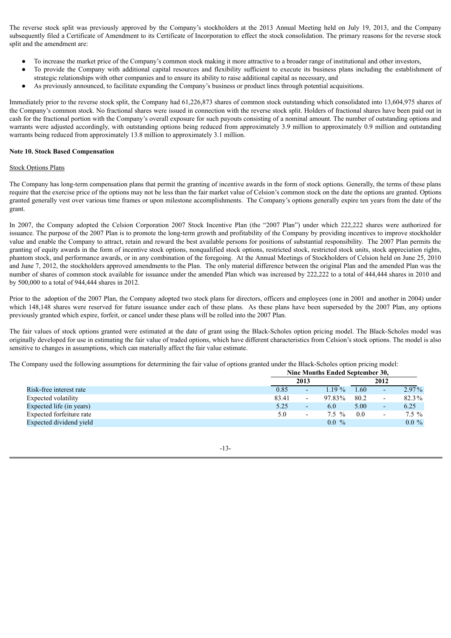The reverse stock split was previously approved by the Company's stockholders at the 2013 Annual Meeting held on July 19, 2013, and the Company subsequently filed a Certificate of Amendment to its Certificate of Incorporation to effect the stock consolidation. The primary reasons for the reverse stock split and the amendment are:

- To increase the market price of the Company's common stock making it more attractive to a broader range of institutional and other investors,
- To provide the Company with additional capital resources and flexibility sufficient to execute its business plans including the establishment of strategic relationships with other companies and to ensure its ability to raise additional capital as necessary, and
- As previously announced, to facilitate expanding the Company's business or product lines through potential acquisitions.

Immediately prior to the reverse stock split, the Company had 61,226,873 shares of common stock outstanding which consolidated into 13,604,975 shares of the Company's common stock. No fractional shares were issued in connection with the reverse stock split. Holders of fractional shares have been paid out in cash for the fractional portion with the Company's overall exposure for such payouts consisting of a nominal amount. The number of outstanding options and warrants were adjusted accordingly, with outstanding options being reduced from approximately 3.9 million to approximately 0.9 million and outstanding warrants being reduced from approximately 13.8 million to approximately 3.1 million.

#### **Note 10. Stock Based Compensation**

#### Stock Options Plans

The Company has long-term compensation plans that permit the granting of incentive awards in the form of stock options. Generally, the terms of these plans require that the exercise price of the options may not be less than the fair market value of Celsion's common stock on the date the options are granted. Options granted generally vest over various time frames or upon milestone accomplishments. The Company's options generally expire ten years from the date of the grant.

In 2007, the Company adopted the Celsion Corporation 2007 Stock Incentive Plan (the "2007 Plan") under which 222,222 shares were authorized for issuance. The purpose of the 2007 Plan is to promote the long-term growth and profitability of the Company by providing incentives to improve stockholder value and enable the Company to attract, retain and reward the best available persons for positions of substantial responsibility. The 2007 Plan permits the granting of equity awards in the form of incentive stock options, nonqualified stock options, restricted stock, restricted stock units, stock appreciation rights, phantom stock, and performance awards, or in any combination of the foregoing. At the Annual Meetings of Stockholders of Celsion held on June 25, 2010 and June 7, 2012, the stockholders approved amendments to the Plan. The only material difference between the original Plan and the amended Plan was the number of shares of common stock available for issuance under the amended Plan which was increased by 222,222 to a total of 444,444 shares in 2010 and by 500,000 to a total of 944,444 shares in 2012.

Prior to the adoption of the 2007 Plan, the Company adopted two stock plans for directors, officers and employees (one in 2001 and another in 2004) under which 148,148 shares were reserved for future issuance under each of these plans. As these plans have been superseded by the 2007 Plan, any options previously granted which expire, forfeit, or cancel under these plans will be rolled into the 2007 Plan.

The fair values of stock options granted were estimated at the date of grant using the Black-Scholes option pricing model. The Black-Scholes model was originally developed for use in estimating the fair value of traded options, which have different characteristics from Celsion's stock options. The model is also sensitive to changes in assumptions, which can materially affect the fair value estimate.

The Company used the following assumptions for determining the fair value of options granted under the Black-Scholes option pricing model:

|                          |       | Nine Months Ended September 30, |           |      |      |          |  |  |
|--------------------------|-------|---------------------------------|-----------|------|------|----------|--|--|
|                          |       | 2013                            |           |      | 2012 |          |  |  |
| Risk-free interest rate  | 0.85  | $\overline{\phantom{a}}$        | 1.19 $\%$ | 1.60 |      | $2.97\%$ |  |  |
| Expected volatility      | 83.41 | $\overline{\phantom{a}}$        | 97.83%    | 80.2 | -    | 82.3%    |  |  |
| Expected life (in years) | 5.25  | $\overline{\phantom{0}}$        | 6.0       | 5.00 | -    | 6.25     |  |  |
| Expected forfeiture rate | 5.0   | $\sim$                          | $7.5\%$   | 0.0  | ۰    | $7.5 \%$ |  |  |
| Expected dividend yield  |       |                                 | $0.0\%$   |      |      | $0.0 \%$ |  |  |

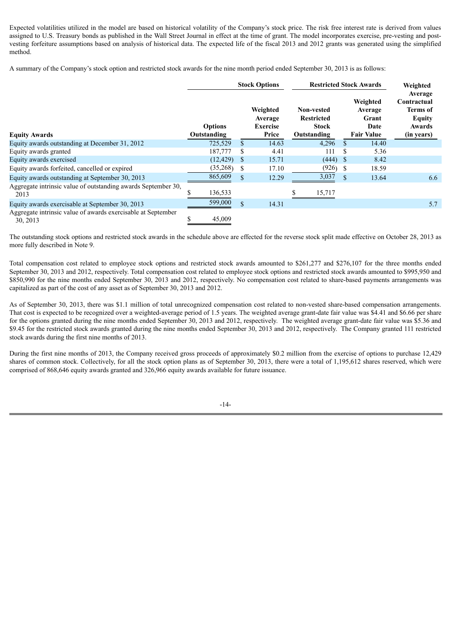Expected volatilities utilized in the model are based on historical volatility of the Company's stock price. The risk free interest rate is derived from values assigned to U.S. Treasury bonds as published in the Wall Street Journal in effect at the time of grant. The model incorporates exercise, pre-vesting and postvesting forfeiture assumptions based on analysis of historical data. The expected life of the fiscal 2013 and 2012 grants was generated using the simplified method.

A summary of the Company's stock option and restricted stock awards for the nine month period ended September 30, 2013 is as follows:

|                                                                          |                               | <b>Stock Options</b> |               |                                                 | <b>Restricted Stock Awards</b>                                 | Weighted                                                  |       |                                                                                    |
|--------------------------------------------------------------------------|-------------------------------|----------------------|---------------|-------------------------------------------------|----------------------------------------------------------------|-----------------------------------------------------------|-------|------------------------------------------------------------------------------------|
| <b>Equity Awards</b>                                                     | <b>Options</b><br>Outstanding |                      |               | Weighted<br>Average<br><b>Exercise</b><br>Price | Non-vested<br><b>Restricted</b><br><b>Stock</b><br>Outstanding | Weighted<br>Average<br>Grant<br>Date<br><b>Fair Value</b> |       | Average<br>Contractual<br><b>Terms</b> of<br><b>Equity</b><br>Awards<br>(in years) |
| Equity awards outstanding at December 31, 2012                           | 725,529                       |                      | $\mathbf{\$}$ | 14.63                                           | 4,296                                                          | \$.                                                       | 14.40 |                                                                                    |
| Equity awards granted                                                    | 187,777                       |                      | S             | 4.41                                            | 111                                                            | S                                                         | 5.36  |                                                                                    |
| Equity awards exercised                                                  | (12, 429)                     |                      | <sup>S</sup>  | 15.71                                           | (444)                                                          | -S                                                        | 8.42  |                                                                                    |
| Equity awards forfeited, cancelled or expired                            | (35,268)                      |                      | -S            | 17.10                                           | (926)                                                          | -S                                                        | 18.59 |                                                                                    |
| Equity awards outstanding at September 30, 2013                          | 865,609                       |                      | \$            | 12.29                                           | 3,037                                                          | \$                                                        | 13.64 | 6.6                                                                                |
| Aggregate intrinsic value of outstanding awards September 30.<br>2013    | 136,533                       |                      |               |                                                 | 15,717                                                         |                                                           |       |                                                                                    |
| Equity awards exercisable at September 30, 2013                          | 599,000                       |                      | $\mathbf S$   | 14.31                                           |                                                                |                                                           |       | 5.7                                                                                |
| Aggregate intrinsic value of awards exercisable at September<br>30, 2013 | 45,009                        |                      |               |                                                 |                                                                |                                                           |       |                                                                                    |

The outstanding stock options and restricted stock awards in the schedule above are effected for the reverse stock split made effective on October 28, 2013 as more fully described in Note 9.

Total compensation cost related to employee stock options and restricted stock awards amounted to \$261,277 and \$276,107 for the three months ended September 30, 2013 and 2012, respectively. Total compensation cost related to employee stock options and restricted stock awards amounted to \$995,950 and \$850,990 for the nine months ended September 30, 2013 and 2012, respectively. No compensation cost related to share-based payments arrangements was capitalized as part of the cost of any asset as of September 30, 2013 and 2012.

As of September 30, 2013, there was \$1.1 million of total unrecognized compensation cost related to non-vested share-based compensation arrangements. That cost is expected to be recognized over a weighted-average period of 1.5 years. The weighted average grant-date fair value was \$4.41 and \$6.66 per share for the options granted during the nine months ended September 30, 2013 and 2012, respectively. The weighted average grant-date fair value was \$5.36 and \$9.45 for the restricted stock awards granted during the nine months ended September 30, 2013 and 2012, respectively. The Company granted 111 restricted stock awards during the first nine months of 2013.

During the first nine months of 2013, the Company received gross proceeds of approximately \$0.2 million from the exercise of options to purchase 12,429 shares of common stock. Collectively, for all the stock option plans as of September 30, 2013, there were a total of 1,195,612 shares reserved, which were comprised of 868,646 equity awards granted and 326,966 equity awards available for future issuance.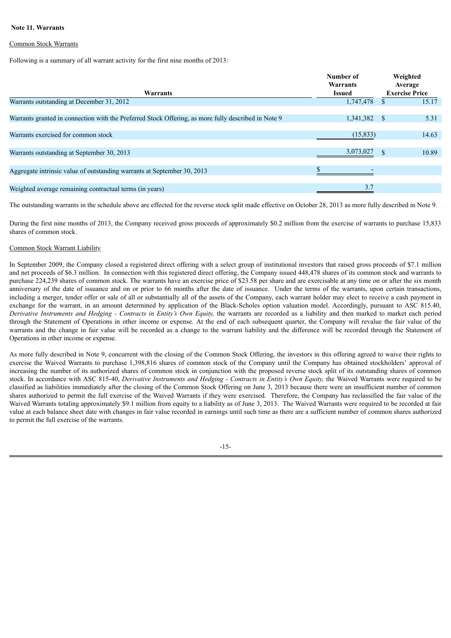#### **Note 11. Warrants**

#### Common Stock Warrants

Following is a summary of all warrant activity for the first nine months of 2013:

| Warrants                                                                                            | Number of<br>Warrants<br><b>Issued</b> | Weighted<br>Average<br><b>Exercise Price</b> |       |  |
|-----------------------------------------------------------------------------------------------------|----------------------------------------|----------------------------------------------|-------|--|
| Warrants outstanding at December 31, 2012                                                           | 1,747,478                              |                                              | 15.17 |  |
| Warrants granted in connection with the Preferred Stock Offering, as more fully described in Note 9 | 1.341.382                              | - \$                                         | 5.31  |  |
| Warrants exercised for common stock                                                                 | (15, 833)                              |                                              | 14.63 |  |
| Warrants outstanding at September 30, 2013                                                          | 3,073,027                              |                                              | 10.89 |  |
| Aggregate intrinsic value of outstanding warrants at September 30, 2013                             |                                        |                                              |       |  |
| Weighted average remaining contractual terms (in years)                                             | 3.7                                    |                                              |       |  |

The outstanding warrants in the schedule above are effected for the reverse stock split made effective on October 28, 2013 as more fully described in Note 9.

During the first nine months of 2013, the Company received gross proceeds of approximately \$0.2 million from the exercise of warrants to purchase 15,833 shares of common stock.

#### Common Stock Warrant Liability

In September 2009, the Company closed a registered direct offering with a select group of institutional investors that raised gross proceeds of \$7.1 million and net proceeds of \$6.3 million. In connection with this registered direct offering, the Company issued 448,478 shares of its common stock and warrants to purchase 224,239 shares of common stock. The warrants have an exercise price of \$23.58 per share and are exercisable at any time on or after the six month anniversary of the date of issuance and on or prior to 66 months after the date of issuance. Under the terms of the warrants, upon certain transactions, including a merger, tender offer or sale of all or substantially all of the assets of the Company, each warrant holder may elect to receive a cash payment in exchange for the warrant, in an amount determined by application of the Black-Scholes option valuation model. Accordingly, pursuant to ASC 815.40, *Derivative Instruments and Hedging - Contracts in Entity's Own Equity,* the warrants are recorded as a liability and then marked to market each period through the Statement of Operations in other income or expense. At the end of each subsequent quarter, the Company will revalue the fair value of the warrants and the change in fair value will be recorded as a change to the warrant liability and the difference will be recorded through the Statement of Operations in other income or expense.

As more fully described in Note 9, concurrent with the closing of the Common Stock Offering, the investors in this offering agreed to waive their rights to exercise the Waived Warrants to purchase 1,398,816 shares of common stock of the Company until the Company has obtained stockholders' approval of increasing the number of its authorized shares of common stock in conjunction with the proposed reverse stock split of its outstanding shares of common stock. In accordance with ASC 815-40, *Derivative Instruments and Hedging - Contracts in Entity's Own Equity,* the Waived Warrants were required to be classified as liabilities immediately after the closing of the Common Stock Offering on June 3, 2013 because there were an insufficient number of common shares authorized to permit the full exercise of the Waived Warrants if they were exercised. Therefore, the Company has reclassified the fair value of the Waived Warrants totaling approximately \$9.1 million from equity to a liability as of June 3, 2013. The Waived Warrants were required to be recorded at fair value at each balance sheet date with changes in fair value recorded in earnings until such time as there are a sufficient number of common shares authorized to permit the full exercise of the warrants.

-15-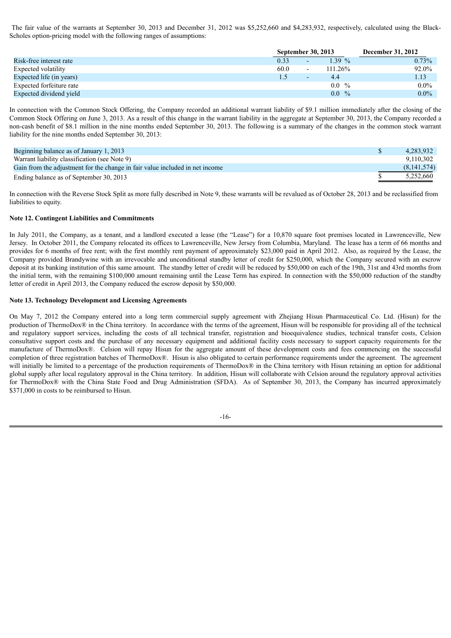The fair value of the warrants at September 30, 2013 and December 31, 2012 was \$5,252,660 and \$4,283,932, respectively, calculated using the Black-Scholes option-pricing model with the following ranges of assumptions:

|                          | <b>September 30, 2013</b> |   |            | <b>December 31, 2012</b> |  |  |
|--------------------------|---------------------------|---|------------|--------------------------|--|--|
| Risk-free interest rate  | 0.33                      |   | $1.39\%$   | 0.73%                    |  |  |
| Expected volatility      | 60.0                      | - | $111.26\%$ | 92.0%                    |  |  |
| Expected life (in years) |                           | - | 4.4        | 1.13                     |  |  |
| Expected forfeiture rate |                           |   | $0.0\%$    | $0.0\%$                  |  |  |
| Expected dividend yield  |                           |   | $0.0\%$    | $0.0\%$                  |  |  |

In connection with the Common Stock Offering, the Company recorded an additional warrant liability of \$9.1 million immediately after the closing of the Common Stock Offering on June 3, 2013. As a result of this change in the warrant liability in the aggregate at September 30, 2013, the Company recorded a non-cash benefit of \$8.1 million in the nine months ended September 30, 2013. The following is a summary of the changes in the common stock warrant liability for the nine months ended September 30, 2013:

| Beginning balance as of January 1, 2013                                      | 4.283.932     |
|------------------------------------------------------------------------------|---------------|
| Warrant liability classification (see Note 9)                                | 9.110.302     |
| Gain from the adjustment for the change in fair value included in net income | (8, 141, 574) |
| Ending balance as of September 30, 2013                                      | 5.252.660     |

In connection with the Reverse Stock Split as more fully described in Note 9, these warrants will be revalued as of October 28, 2013 and be reclassified from liabilities to equity.

#### **Note 12. Contingent Liabilities and Commitments**

In July 2011, the Company, as a tenant, and a landlord executed a lease (the "Lease") for a 10,870 square foot premises located in Lawrenceville, New Jersey. In October 2011, the Company relocated its offices to Lawrenceville, New Jersey from Columbia, Maryland. The lease has a term of 66 months and provides for 6 months of free rent; with the first monthly rent payment of approximately \$23,000 paid in April 2012. Also, as required by the Lease, the Company provided Brandywine with an irrevocable and unconditional standby letter of credit for \$250,000, which the Company secured with an escrow deposit at its banking institution of this same amount. The standby letter of credit will be reduced by \$50,000 on each of the 19th, 31st and 43rd months from the initial term, with the remaining \$100,000 amount remaining until the Lease Term has expired. In connection with the \$50,000 reduction of the standby letter of credit in April 2013, the Company reduced the escrow deposit by \$50,000.

#### **Note 13. Technology Development and Licensing Agreements**

On May 7, 2012 the Company entered into a long term commercial supply agreement with Zhejiang Hisun Pharmaceutical Co. Ltd. (Hisun) for the production of ThermoDox® in the China territory. In accordance with the terms of the agreement, Hisun will be responsible for providing all of the technical and regulatory support services, including the costs of all technical transfer, registration and bioequivalence studies, technical transfer costs, Celsion consultative support costs and the purchase of any necessary equipment and additional facility costs necessary to support capacity requirements for the manufacture of ThermoDox®. Celsion will repay Hisun for the aggregate amount of these development costs and fees commencing on the successful completion of three registration batches of ThermoDox®. Hisun is also obligated to certain performance requirements under the agreement. The agreement will initially be limited to a percentage of the production requirements of ThermoDox® in the China territory with Hisun retaining an option for additional global supply after local regulatory approval in the China territory. In addition, Hisun will collaborate with Celsion around the regulatory approval activities for ThermoDox® with the China State Food and Drug Administration (SFDA). As of September 30, 2013, the Company has incurred approximately \$371,000 in costs to be reimbursed to Hisun.

-16-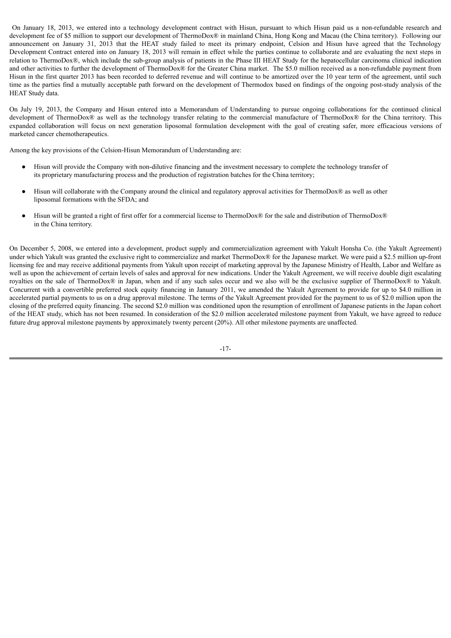On January 18, 2013, we entered into a technology development contract with Hisun, pursuant to which Hisun paid us a non-refundable research and development fee of \$5 million to support our development of ThermoDox® in mainland China, Hong Kong and Macau (the China territory). Following our announcement on January 31, 2013 that the HEAT study failed to meet its primary endpoint, Celsion and Hisun have agreed that the Technology Development Contract entered into on January 18, 2013 will remain in effect while the parties continue to collaborate and are evaluating the next steps in relation to ThermoDox®, which include the sub-group analysis of patients in the Phase III HEAT Study for the hepatocellular carcinoma clinical indication and other activities to further the development of ThermoDox® for the Greater China market. The \$5.0 million received as a non-refundable payment from Hisun in the first quarter 2013 has been recorded to deferred revenue and will continue to be amortized over the 10 year term of the agreement, until such time as the parties find a mutually acceptable path forward on the development of Thermodox based on findings of the ongoing post-study analysis of the HEAT Study data.

On July 19, 2013, the Company and Hisun entered into a Memorandum of Understanding to pursue ongoing collaborations for the continued clinical development of ThermoDox® as well as the technology transfer relating to the commercial manufacture of ThermoDox® for the China territory. This expanded collaboration will focus on next generation liposomal formulation development with the goal of creating safer, more efficacious versions of marketed cancer chemotherapeutics.

Among the key provisions of the Celsion-Hisun Memorandum of Understanding are:

- **●** Hisun will provide the Company with non-dilutive financing and the investment necessary to complete the technology transfer of its proprietary manufacturing process and the production of registration batches for the China territory;
- **●** Hisun will collaborate with the Company around the clinical and regulatory approval activities for ThermoDox® as well as other liposomal formations with the SFDA; and
- **●** Hisun will be granted a right of first offer for a commercial license to ThermoDox® for the sale and distribution of ThermoDox® in the China territory.

On December 5, 2008, we entered into a development, product supply and commercialization agreement with Yakult Honsha Co. (the Yakult Agreement) under which Yakult was granted the exclusive right to commercialize and market ThermoDox® for the Japanese market. We were paid a \$2.5 million up-front licensing fee and may receive additional payments from Yakult upon receipt of marketing approval by the Japanese Ministry of Health, Labor and Welfare as well as upon the achievement of certain levels of sales and approval for new indications. Under the Yakult Agreement, we will receive double digit escalating royalties on the sale of ThermoDox® in Japan, when and if any such sales occur and we also will be the exclusive supplier of ThermoDox® to Yakult. Concurrent with a convertible preferred stock equity financing in January 2011, we amended the Yakult Agreement to provide for up to \$4.0 million in accelerated partial payments to us on a drug approval milestone. The terms of the Yakult Agreement provided for the payment to us of \$2.0 million upon the closing of the preferred equity financing. The second \$2.0 million was conditioned upon the resumption of enrollment of Japanese patients in the Japan cohort of the HEAT study, which has not been resumed. In consideration of the \$2.0 million accelerated milestone payment from Yakult, we have agreed to reduce future drug approval milestone payments by approximately twenty percent (20%). All other milestone payments are unaffected.

-17-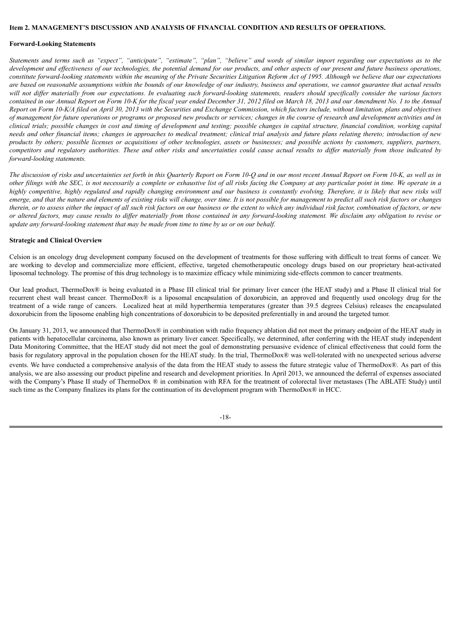## **Item 2. MANAGEMENT'S DISCUSSION AND ANALYSIS OF FINANCIAL CONDITION AND RESULTS OF OPERATIONS.**

#### **Forward-Looking Statements**

Statements and terms such as "expect", "anticipate", "estimate", "plan", "believe" and words of similar import regarding our expectations as to the development and effectiveness of our technologies, the potential demand for our products, and other aspects of our present and future business operations, constitute forward-looking statements within the meaning of the Private Securities Litigation Reform Act of 1995. Although we believe that our expectations are based on reasonable assumptions within the bounds of our knowledge of our industry, business and operations, we cannot guarantee that actual results will not differ materially from our expectations. In evaluating such forward-looking statements, readers should specifically consider the various factors contained in our Annual Report on Form 10-K for the fiscal year ended December 31, 2012 filed on March 18, 2013 and our Amendment No. 1 to the Annual Report on Form 10-K/A filed on April 30, 2013 with the Securities and Exchange Commission, which factors include, without limitation, plans and objectives of management for future operations or programs or proposed new products or services; changes in the course of research and development activities and in clinical trials; possible changes in cost and timing of development and testing; possible changes in capital structure, financial condition, working capital needs and other financial items; changes in approaches to medical treatment; clinical trial analysis and future plans relating thereto; introduction of new products by others; possible licenses or acquisitions of other technologies, assets or businesses; and possible actions by customers, suppliers, partners, competitors and regulatory authorities. These and other risks and uncertainties could cause actual results to differ materially from those indicated by *forward-looking statements.*

The discussion of risks and uncertainties set forth in this Quarterly Report on Form 10-Q and in our most recent Annual Report on Form 10-K, as well as in other filings with the SEC, is not necessarily a complete or exhaustive list of all risks facing the Company at any particular point in time. We operate in a highly competitive, highly regulated and rapidly changing environment and our business is constantly evolving. Therefore, it is likely that new risks will emerge, and that the nature and elements of existing risks will change, over time. It is not possible for management to predict all such risk factors or changes therein, or to assess either the impact of all such risk factors on our business or the extent to which any individual risk factor, combination of factors, or new or altered factors, may cause results to differ materially from those contained in any forward-looking statement. We disclaim any obligation to revise or *update any forward-looking statement that may be made from time to time by us or on our behalf.*

#### **Strategic and Clinical Overview**

Celsion is an oncology drug development company focused on the development of treatments for those suffering with difficult to treat forms of cancer. We are working to develop and commercialize more efficient, effective, targeted chemotherapeutic oncology drugs based on our proprietary heat-activated liposomal technology. The promise of this drug technology is to maximize efficacy while minimizing side-effects common to cancer treatments.

Our lead product, ThermoDox® is being evaluated in a Phase III clinical trial for primary liver cancer (the HEAT study) and a Phase II clinical trial for recurrent chest wall breast cancer. ThermoDox® is a liposomal encapsulation of doxorubicin, an approved and frequently used oncology drug for the treatment of a wide range of cancers. Localized heat at mild hyperthermia temperatures (greater than 39.5 degrees Celsius) releases the encapsulated doxorubicin from the liposome enabling high concentrations of doxorubicin to be deposited preferentially in and around the targeted tumor.

On January 31, 2013, we announced that ThermoDox® in combination with radio frequency ablation did not meet the primary endpoint of the HEAT study in patients with hepatocellular carcinoma, also known as primary liver cancer. Specifically, we determined, after conferring with the HEAT study independent Data Monitoring Committee, that the HEAT study did not meet the goal of demonstrating persuasive evidence of clinical effectiveness that could form the basis for regulatory approval in the population chosen for the HEAT study. In the trial, ThermoDox® was well-tolerated with no unexpected serious adverse events. We have conducted a comprehensive analysis of the data from the HEAT study to assess the future strategic value of ThermoDox®. As part of this analysis, we are also assessing our product pipeline and research and development priorities. In April 2013, we announced the deferral of expenses associated with the Company's Phase II study of ThermoDox ® in combination with RFA for the treatment of colorectal liver metastases (The ABLATE Study) until such time as the Company finalizes its plans for the continuation of its development program with ThermoDox® in HCC.

-18-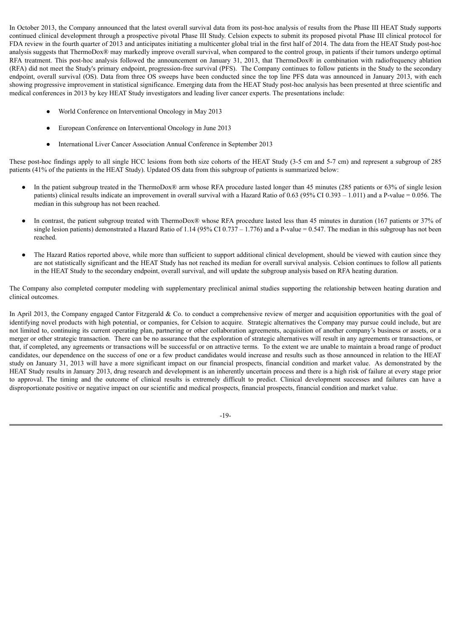In October 2013, the Company announced that the latest overall survival data from its post-hoc analysis of results from the Phase III HEAT Study supports continued clinical development through a prospective pivotal Phase III Study. Celsion expects to submit its proposed pivotal Phase III clinical protocol for FDA review in the fourth quarter of 2013 and anticipates initiating a multicenter global trial in the first half of 2014. The data from the HEAT Study post-hoc analysis suggests that ThermoDox® may markedly improve overall survival, when compared to the control group, in patients if their tumors undergo optimal RFA treatment. This post-hoc analysis followed the announcement on January 31, 2013, that ThermoDox® in combination with radiofrequency ablation (RFA) did not meet the Study's primary endpoint, progression-free survival (PFS). The Company continues to follow patients in the Study to the secondary endpoint, overall survival (OS). Data from three OS sweeps have been conducted since the top line PFS data was announced in January 2013, with each showing progressive improvement in statistical significance. Emerging data from the HEAT Study post-hoc analysis has been presented at three scientific and medical conferences in 2013 by key HEAT Study investigators and leading liver cancer experts. The presentations include:

- World Conference on Interventional Oncology in May 2013
- European Conference on Interventional Oncology in June 2013
- International Liver Cancer Association Annual Conference in September 2013

These post-hoc findings apply to all single HCC lesions from both size cohorts of the HEAT Study (3-5 cm and 5-7 cm) and represent a subgroup of 285 patients (41% of the patients in the HEAT Study). Updated OS data from this subgroup of patients is summarized below:

- In the patient subgroup treated in the ThermoDox® arm whose RFA procedure lasted longer than 45 minutes (285 patients or 63% of single lesion patients) clinical results indicate an improvement in overall survival with a Hazard Ratio of 0.63 (95% CI 0.393 – 1.011) and a P-value = 0.056. The median in this subgroup has not been reached.
- In contrast, the patient subgroup treated with ThermoDox® whose RFA procedure lasted less than 45 minutes in duration (167 patients or 37% of single lesion patients) demonstrated a Hazard Ratio of  $1.14$  (95% CI 0.737 – 1.776) and a P-value = 0.547. The median in this subgroup has not been reached.
- The Hazard Ratios reported above, while more than sufficient to support additional clinical development, should be viewed with caution since they are not statistically significant and the HEAT Study has not reached its median for overall survival analysis. Celsion continues to follow all patients in the HEAT Study to the secondary endpoint, overall survival, and will update the subgroup analysis based on RFA heating duration.

The Company also completed computer modeling with supplementary preclinical animal studies supporting the relationship between heating duration and clinical outcomes.

In April 2013, the Company engaged Cantor Fitzgerald & Co. to conduct a comprehensive review of merger and acquisition opportunities with the goal of identifying novel products with high potential, or companies, for Celsion to acquire. Strategic alternatives the Company may pursue could include, but are not limited to, continuing its current operating plan, partnering or other collaboration agreements, acquisition of another company's business or assets, or a merger or other strategic transaction. There can be no assurance that the exploration of strategic alternatives will result in any agreements or transactions, or that, if completed, any agreements or transactions will be successful or on attractive terms. To the extent we are unable to maintain a broad range of product candidates, our dependence on the success of one or a few product candidates would increase and results such as those announced in relation to the HEAT study on January 31, 2013 will have a more significant impact on our financial prospects, financial condition and market value. As demonstrated by the HEAT Study results in January 2013, drug research and development is an inherently uncertain process and there is a high risk of failure at every stage prior to approval. The timing and the outcome of clinical results is extremely difficult to predict. Clinical development successes and failures can have a disproportionate positive or negative impact on our scientific and medical prospects, financial prospects, financial condition and market value.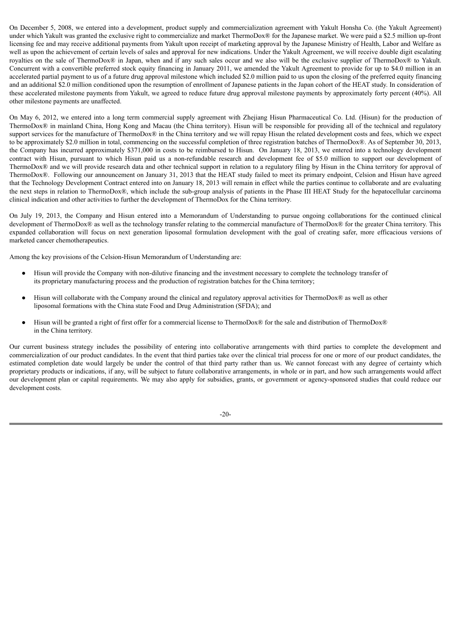On December 5, 2008, we entered into a development, product supply and commercialization agreement with Yakult Honsha Co. (the Yakult Agreement) under which Yakult was granted the exclusive right to commercialize and market ThermoDox® for the Japanese market. We were paid a \$2.5 million up-front licensing fee and may receive additional payments from Yakult upon receipt of marketing approval by the Japanese Ministry of Health, Labor and Welfare as well as upon the achievement of certain levels of sales and approval for new indications. Under the Yakult Agreement, we will receive double digit escalating royalties on the sale of ThermoDox® in Japan, when and if any such sales occur and we also will be the exclusive supplier of ThermoDox® to Yakult. Concurrent with a convertible preferred stock equity financing in January 2011, we amended the Yakult Agreement to provide for up to \$4.0 million in an accelerated partial payment to us of a future drug approval milestone which included \$2.0 million paid to us upon the closing of the preferred equity financing and an additional \$2.0 million conditioned upon the resumption of enrollment of Japanese patients in the Japan cohort of the HEAT study. In consideration of these accelerated milestone payments from Yakult, we agreed to reduce future drug approval milestone payments by approximately forty percent (40%). All other milestone payments are unaffected.

On May 6, 2012, we entered into a long term commercial supply agreement with Zhejiang Hisun Pharmaceutical Co. Ltd. (Hisun) for the production of ThermoDox® in mainland China, Hong Kong and Macau (the China territory). Hisun will be responsible for providing all of the technical and regulatory support services for the manufacture of ThermoDox® in the China territory and we will repay Hisun the related development costs and fees, which we expect to be approximately \$2.0 million in total, commencing on the successful completion of three registration batches of ThermoDox®. As of September 30, 2013, the Company has incurred approximately \$371,000 in costs to be reimbursed to Hisun. On January 18, 2013, we entered into a technology development contract with Hisun, pursuant to which Hisun paid us a non-refundable research and development fee of \$5.0 million to support our development of ThermoDox® and we will provide research data and other technical support in relation to a regulatory filing by Hisun in the China territory for approval of ThermoDox®. Following our announcement on January 31, 2013 that the HEAT study failed to meet its primary endpoint, Celsion and Hisun have agreed that the Technology Development Contract entered into on January 18, 2013 will remain in effect while the parties continue to collaborate and are evaluating the next steps in relation to ThermoDox®, which include the sub-group analysis of patients in the Phase III HEAT Study for the hepatocellular carcinoma clinical indication and other activities to further the development of ThermoDox for the China territory.

On July 19, 2013, the Company and Hisun entered into a Memorandum of Understanding to pursue ongoing collaborations for the continued clinical development of ThermoDox® as well as the technology transfer relating to the commercial manufacture of ThermoDox® for the greater China territory. This expanded collaboration will focus on next generation liposomal formulation development with the goal of creating safer, more efficacious versions of marketed cancer chemotherapeutics.

Among the key provisions of the Celsion-Hisun Memorandum of Understanding are:

- **●** Hisun will provide the Company with non-dilutive financing and the investment necessary to complete the technology transfer of its proprietary manufacturing process and the production of registration batches for the China territory;
- **●** Hisun will collaborate with the Company around the clinical and regulatory approval activities for ThermoDox® as well as other liposomal formations with the China state Food and Drug Administration (SFDA); and
- **●** Hisun will be granted a right of first offer for a commercial license to ThermoDox® for the sale and distribution of ThermoDox® in the China territory.

Our current business strategy includes the possibility of entering into collaborative arrangements with third parties to complete the development and commercialization of our product candidates. In the event that third parties take over the clinical trial process for one or more of our product candidates, the estimated completion date would largely be under the control of that third party rather than us. We cannot forecast with any degree of certainty which proprietary products or indications, if any, will be subject to future collaborative arrangements, in whole or in part, and how such arrangements would affect our development plan or capital requirements. We may also apply for subsidies, grants, or government or agency-sponsored studies that could reduce our development costs.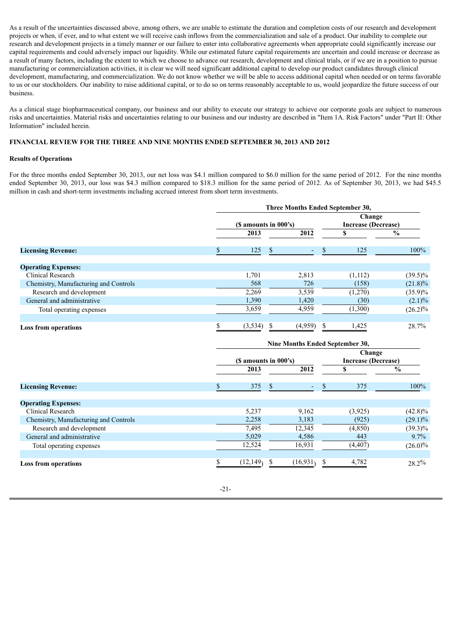As a result of the uncertainties discussed above, among others, we are unable to estimate the duration and completion costs of our research and development projects or when, if ever, and to what extent we will receive cash inflows from the commercialization and sale of a product. Our inability to complete our research and development projects in a timely manner or our failure to enter into collaborative agreements when appropriate could significantly increase our capital requirements and could adversely impact our liquidity. While our estimated future capital requirements are uncertain and could increase or decrease as a result of many factors, including the extent to which we choose to advance our research, development and clinical trials, or if we are in a position to pursue manufacturing or commercialization activities, it is clear we will need significant additional capital to develop our product candidates through clinical development, manufacturing, and commercialization. We do not know whether we will be able to access additional capital when needed or on terms favorable to us or our stockholders. Our inability to raise additional capital, or to do so on terms reasonably acceptable to us, would jeopardize the future success of our business.

As a clinical stage biopharmaceutical company, our business and our ability to execute our strategy to achieve our corporate goals are subject to numerous risks and uncertainties. Material risks and uncertainties relating to our business and our industry are described in "Item 1A. Risk Factors" under "Part II: Other Information" included herein.

## **FINANCIAL REVIEW FOR THE THREE AND NINE MONTHS ENDED SEPTEMBER 30, 2013 AND 2012**

### **Results of Operations**

For the three months ended September 30, 2013, our net loss was \$4.1 million compared to \$6.0 million for the same period of 2012. For the nine months ended September 30, 2013, our loss was \$4.3 million compared to \$18.3 million for the same period of 2012. As of September 30, 2013, we had \$45.5 million in cash and short-term investments including accrued interest from short term investments.

|                                       |    | Three Months Ended September 30, |               |                          |             |                                      |               |  |  |  |  |
|---------------------------------------|----|----------------------------------|---------------|--------------------------|-------------|--------------------------------------|---------------|--|--|--|--|
|                                       |    | $(S$ amounts in $000's$ )        |               |                          |             | Change<br><b>Increase (Decrease)</b> |               |  |  |  |  |
|                                       |    | 2013                             |               | 2012                     |             | S                                    | $\frac{0}{0}$ |  |  |  |  |
| <b>Licensing Revenue:</b>             | S. | 125                              | <sup>\$</sup> | $\overline{\phantom{a}}$ | $\mathbf S$ | 125                                  | 100%          |  |  |  |  |
| <b>Operating Expenses:</b>            |    |                                  |               |                          |             |                                      |               |  |  |  |  |
| Clinical Research                     |    | 1,701                            |               | 2,813                    |             | (1,112)                              | $(39.5)\%$    |  |  |  |  |
| Chemistry, Manufacturing and Controls |    | 568                              |               | 726                      |             | (158)                                | $(21.8)\%$    |  |  |  |  |
| Research and development              |    | 2,269                            |               | 3,539                    |             | (1,270)                              | $(35.9)\%$    |  |  |  |  |
| General and administrative            |    | 1,390                            |               | 1,420                    |             | (30)                                 | $(2.1)\%$     |  |  |  |  |
| Total operating expenses              |    | 3,659                            |               | 4,959                    |             | (1,300)                              | $(26.2)\%$    |  |  |  |  |
|                                       |    |                                  |               |                          |             |                                      |               |  |  |  |  |
| <b>Loss from operations</b>           |    | (3,534)                          | S             | (4,959)                  | S           | 1,425                                | 28.7%         |  |  |  |  |

|                                       | Nine Months Ended September 30, |                           |              |           |     |                            |               |  |  |
|---------------------------------------|---------------------------------|---------------------------|--------------|-----------|-----|----------------------------|---------------|--|--|
|                                       |                                 |                           |              | Change    |     |                            |               |  |  |
|                                       |                                 | $(S$ amounts in $000$ 's) |              |           |     | <b>Increase (Decrease)</b> |               |  |  |
|                                       |                                 | 2013                      |              | 2012      |     |                            | $\frac{1}{2}$ |  |  |
| <b>Licensing Revenue:</b>             |                                 | 375                       | $\mathbb{S}$ | $\sim$    | \$. | 375                        | 100%          |  |  |
| <b>Operating Expenses:</b>            |                                 |                           |              |           |     |                            |               |  |  |
| Clinical Research                     |                                 | 5,237                     |              | 9,162     |     | (3,925)                    | $(42.8)\%$    |  |  |
| Chemistry, Manufacturing and Controls |                                 | 2,258                     |              | 3,183     |     | (925)                      | $(29.1)\%$    |  |  |
| Research and development              |                                 | 7,495                     |              | 12,345    |     | (4,850)                    | $(39.3)\%$    |  |  |
| General and administrative            |                                 | 5,029                     |              | 4,586     |     | 443                        | $9.7\%$       |  |  |
| Total operating expenses              |                                 | 12,524                    |              | 16,931    |     | (4, 407)                   | $(26.0)\%$    |  |  |
| <b>Loss from operations</b>           |                                 | (12, 149)                 | -S           | (16, 931) | \$  | 4,782                      | $28.2\%$      |  |  |

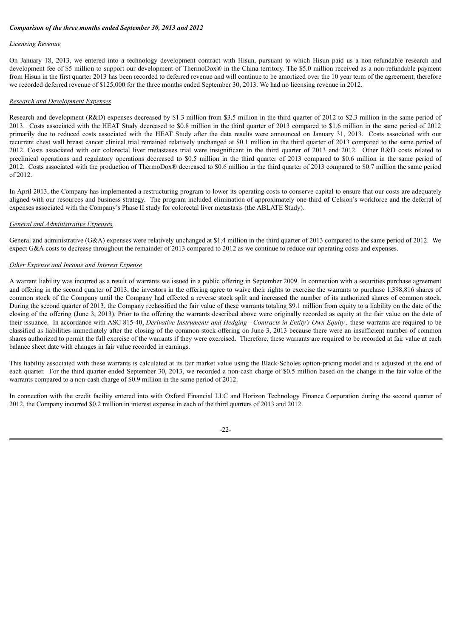### *Comparison of the three months ended September 30, 2013 and 2012*

#### *Licensing Revenue*

On January 18, 2013, we entered into a technology development contract with Hisun, pursuant to which Hisun paid us a non-refundable research and development fee of \$5 million to support our development of ThermoDox® in the China territory. The \$5.0 million received as a non-refundable payment from Hisun in the first quarter 2013 has been recorded to deferred revenue and will continue to be amortized over the 10 year term of the agreement, therefore we recorded deferred revenue of \$125,000 for the three months ended September 30, 2013. We had no licensing revenue in 2012.

### *Research and Development Expenses*

Research and development (R&D) expenses decreased by \$1.3 million from \$3.5 million in the third quarter of 2012 to \$2.3 million in the same period of 2013. Costs associated with the HEAT Study decreased to \$0.8 million in the third quarter of 2013 compared to \$1.6 million in the same period of 2012 primarily due to reduced costs associated with the HEAT Study after the data results were announced on January 31, 2013. Costs associated with our recurrent chest wall breast cancer clinical trial remained relatively unchanged at \$0.1 million in the third quarter of 2013 compared to the same period of 2012. Costs associated with our colorectal liver metastases trial were insignificant in the third quarter of 2013 and 2012. Other R&D costs related to preclinical operations and regulatory operations decreased to \$0.5 million in the third quarter of 2013 compared to \$0.6 million in the same period of 2012. Costs associated with the production of ThermoDox® decreased to \$0.6 million in the third quarter of 2013 compared to \$0.7 million the same period of 2012.

In April 2013, the Company has implemented a restructuring program to lower its operating costs to conserve capital to ensure that our costs are adequately aligned with our resources and business strategy. The program included elimination of approximately one-third of Celsion's workforce and the deferral of expenses associated with the Company's Phase II study for colorectal liver metastasis (the ABLATE Study).

#### *General and Administrative Expenses*

General and administrative (G&A) expenses were relatively unchanged at \$1.4 million in the third quarter of 2013 compared to the same period of 2012. We expect G&A costs to decrease throughout the remainder of 2013 compared to 2012 as we continue to reduce our operating costs and expenses.

#### *Other Expense and Income and Interest Expense*

A warrant liability was incurred as a result of warrants we issued in a public offering in September 2009. In connection with a securities purchase agreement and offering in the second quarter of 2013, the investors in the offering agree to waive their rights to exercise the warrants to purchase 1,398,816 shares of common stock of the Company until the Company had effected a reverse stock split and increased the number of its authorized shares of common stock. During the second quarter of 2013, the Company reclassified the fair value of these warrants totaling \$9.1 million from equity to a liability on the date of the closing of the offering (June 3, 2013). Prior to the offering the warrants described above were originally recorded as equity at the fair value on the date of their issuance. In accordance with ASC 815-40, Derivative Instruments and Hedging - Contracts in Entity's Own Equity, these warrants are required to be classified as liabilities immediately after the closing of the common stock offering on June 3, 2013 because there were an insufficient number of common shares authorized to permit the full exercise of the warrants if they were exercised. Therefore, these warrants are required to be recorded at fair value at each balance sheet date with changes in fair value recorded in earnings.

This liability associated with these warrants is calculated at its fair market value using the Black-Scholes option-pricing model and is adjusted at the end of each quarter. For the third quarter ended September 30, 2013, we recorded a non-cash charge of \$0.5 million based on the change in the fair value of the warrants compared to a non-cash charge of \$0.9 million in the same period of 2012.

In connection with the credit facility entered into with Oxford Financial LLC and Horizon Technology Finance Corporation during the second quarter of 2012, the Company incurred \$0.2 million in interest expense in each of the third quarters of 2013 and 2012.

-22-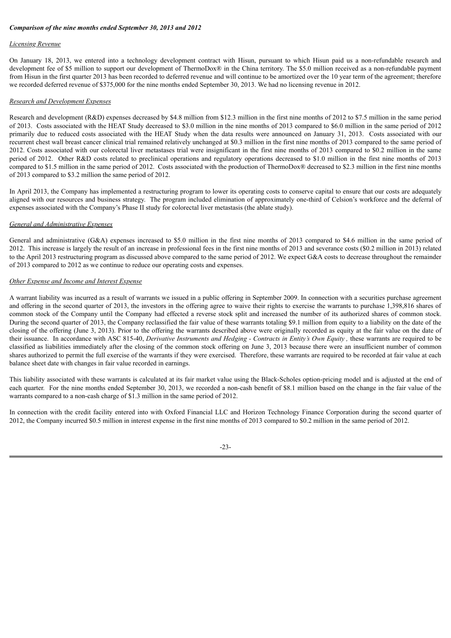## *Comparison of the nine months ended September 30, 2013 and 2012*

#### *Licensing Revenue*

On January 18, 2013, we entered into a technology development contract with Hisun, pursuant to which Hisun paid us a non-refundable research and development fee of \$5 million to support our development of ThermoDox® in the China territory. The \$5.0 million received as a non-refundable payment from Hisun in the first quarter 2013 has been recorded to deferred revenue and will continue to be amortized over the 10 year term of the agreement; therefore we recorded deferred revenue of \$375,000 for the nine months ended September 30, 2013. We had no licensing revenue in 2012.

#### *Research and Development Expenses*

Research and development (R&D) expenses decreased by \$4.8 million from \$12.3 million in the first nine months of 2012 to \$7.5 million in the same period of 2013. Costs associated with the HEAT Study decreased to \$3.0 million in the nine months of 2013 compared to \$6.0 million in the same period of 2012 primarily due to reduced costs associated with the HEAT Study when the data results were announced on January 31, 2013. Costs associated with our recurrent chest wall breast cancer clinical trial remained relatively unchanged at \$0.3 million in the first nine months of 2013 compared to the same period of 2012. Costs associated with our colorectal liver metastases trial were insignificant in the first nine months of 2013 compared to \$0.2 million in the same period of 2012. Other R&D costs related to preclinical operations and regulatory operations decreased to \$1.0 million in the first nine months of 2013 compared to \$1.5 million in the same period of 2012. Costs associated with the production of ThermoDox® decreased to \$2.3 million in the first nine months of 2013 compared to \$3.2 million the same period of 2012.

In April 2013, the Company has implemented a restructuring program to lower its operating costs to conserve capital to ensure that our costs are adequately aligned with our resources and business strategy. The program included elimination of approximately one-third of Celsion's workforce and the deferral of expenses associated with the Company's Phase II study for colorectal liver metastasis (the ablate study).

#### *General and Administrative Expenses*

General and administrative (G&A) expenses increased to \$5.0 million in the first nine months of 2013 compared to \$4.6 million in the same period of 2012. This increase is largely the result of an increase in professional fees in the first nine months of 2013 and severance costs (\$0.2 million in 2013) related to the April 2013 restructuring program as discussed above compared to the same period of 2012. We expect G&A costs to decrease throughout the remainder of 2013 compared to 2012 as we continue to reduce our operating costs and expenses.

#### *Other Expense and Income and Interest Expense*

A warrant liability was incurred as a result of warrants we issued in a public offering in September 2009. In connection with a securities purchase agreement and offering in the second quarter of 2013, the investors in the offering agree to waive their rights to exercise the warrants to purchase 1,398,816 shares of common stock of the Company until the Company had effected a reverse stock split and increased the number of its authorized shares of common stock. During the second quarter of 2013, the Company reclassified the fair value of these warrants totaling \$9.1 million from equity to a liability on the date of the closing of the offering (June 3, 2013). Prior to the offering the warrants described above were originally recorded as equity at the fair value on the date of their issuance. In accordance with ASC 815-40, Derivative Instruments and Hedging - Contracts in Entity's Own Equity, these warrants are required to be classified as liabilities immediately after the closing of the common stock offering on June 3, 2013 because there were an insufficient number of common shares authorized to permit the full exercise of the warrants if they were exercised. Therefore, these warrants are required to be recorded at fair value at each balance sheet date with changes in fair value recorded in earnings.

This liability associated with these warrants is calculated at its fair market value using the Black-Scholes option-pricing model and is adjusted at the end of each quarter. For the nine months ended September 30, 2013, we recorded a non-cash benefit of \$8.1 million based on the change in the fair value of the warrants compared to a non-cash charge of \$1.3 million in the same period of 2012.

In connection with the credit facility entered into with Oxford Financial LLC and Horizon Technology Finance Corporation during the second quarter of 2012, the Company incurred \$0.5 million in interest expense in the first nine months of 2013 compared to \$0.2 million in the same period of 2012.

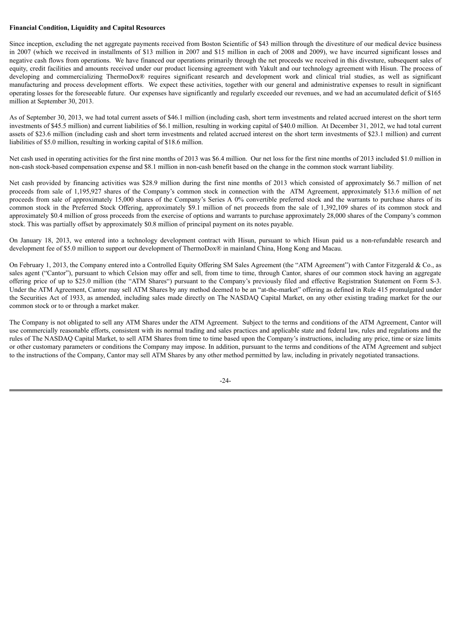### **Financial Condition, Liquidity and Capital Resources**

Since inception, excluding the net aggregate payments received from Boston Scientific of \$43 million through the divestiture of our medical device business in 2007 (which we received in installments of \$13 million in 2007 and \$15 million in each of 2008 and 2009), we have incurred significant losses and negative cash flows from operations. We have financed our operations primarily through the net proceeds we received in this divesture, subsequent sales of equity, credit facilities and amounts received under our product licensing agreement with Yakult and our technology agreement with Hisun. The process of developing and commercializing ThermoDox® requires significant research and development work and clinical trial studies, as well as significant manufacturing and process development efforts. We expect these activities, together with our general and administrative expenses to result in significant operating losses for the foreseeable future. Our expenses have significantly and regularly exceeded our revenues, and we had an accumulated deficit of \$165 million at September 30, 2013.

As of September 30, 2013, we had total current assets of \$46.1 million (including cash, short term investments and related accrued interest on the short term investments of \$45.5 million) and current liabilities of \$6.1 million, resulting in working capital of \$40.0 million. At December 31, 2012, we had total current assets of \$23.6 million (including cash and short term investments and related accrued interest on the short term investments of \$23.1 million) and current liabilities of \$5.0 million, resulting in working capital of \$18.6 million.

Net cash used in operating activities for the first nine months of 2013 was \$6.4 million. Our net loss for the first nine months of 2013 included \$1.0 million in non-cash stock-based compensation expense and \$8.1 million in non-cash benefit based on the change in the common stock warrant liability.

Net cash provided by financing activities was \$28.9 million during the first nine months of 2013 which consisted of approximately \$6.7 million of net proceeds from sale of 1,195,927 shares of the Company's common stock in connection with the ATM Agreement, approximately \$13.6 million of net proceeds from sale of approximately 15,000 shares of the Company's Series A 0% convertible preferred stock and the warrants to purchase shares of its common stock in the Preferred Stock Offering, approximately \$9.1 million of net proceeds from the sale of 1,392,109 shares of its common stock and approximately \$0.4 million of gross proceeds from the exercise of options and warrants to purchase approximately 28,000 shares of the Company's common stock. This was partially offset by approximately \$0.8 million of principal payment on its notes payable.

On January 18, 2013, we entered into a technology development contract with Hisun, pursuant to which Hisun paid us a non-refundable research and development fee of \$5.0 million to support our development of ThermoDox® in mainland China, Hong Kong and Macau.

On February 1, 2013, the Company entered into a Controlled Equity Offering SM Sales Agreement (the "ATM Agreement") with Cantor Fitzgerald & Co., as sales agent ("Cantor"), pursuant to which Celsion may offer and sell, from time to time, through Cantor, shares of our common stock having an aggregate offering price of up to \$25.0 million (the "ATM Shares") pursuant to the Company's previously filed and effective Registration Statement on Form S-3. Under the ATM Agreement, Cantor may sell ATM Shares by any method deemed to be an "at-the-market" offering as defined in Rule 415 promulgated under the Securities Act of 1933, as amended, including sales made directly on The NASDAQ Capital Market, on any other existing trading market for the our common stock or to or through a market maker.

The Company is not obligated to sell any ATM Shares under the ATM Agreement. Subject to the terms and conditions of the ATM Agreement, Cantor will use commercially reasonable efforts, consistent with its normal trading and sales practices and applicable state and federal law, rules and regulations and the rules of The NASDAQ Capital Market, to sell ATM Shares from time to time based upon the Company's instructions, including any price, time or size limits or other customary parameters or conditions the Company may impose. In addition, pursuant to the terms and conditions of the ATM Agreement and subject to the instructions of the Company, Cantor may sell ATM Shares by any other method permitted by law, including in privately negotiated transactions.

-24-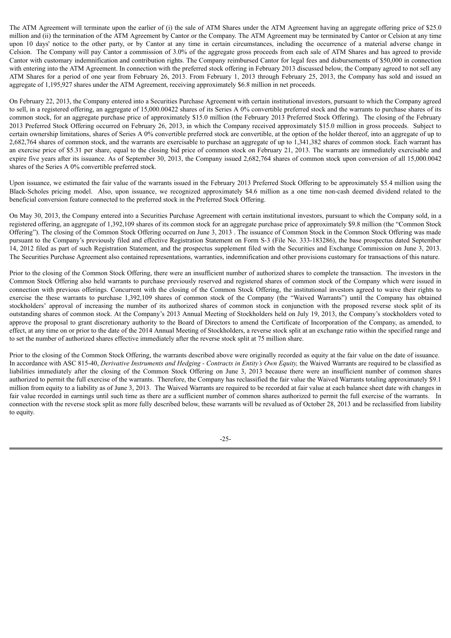The ATM Agreement will terminate upon the earlier of (i) the sale of ATM Shares under the ATM Agreement having an aggregate offering price of \$25.0 million and (ii) the termination of the ATM Agreement by Cantor or the Company. The ATM Agreement may be terminated by Cantor or Celsion at any time upon 10 days' notice to the other party, or by Cantor at any time in certain circumstances, including the occurrence of a material adverse change in Celsion. The Company will pay Cantor a commission of 3.0% of the aggregate gross proceeds from each sale of ATM Shares and has agreed to provide Cantor with customary indemnification and contribution rights. The Company reimbursed Cantor for legal fees and disbursements of \$50,000 in connection with entering into the ATM Agreement. In connection with the preferred stock offering in February 2013 discussed below, the Company agreed to not sell any ATM Shares for a period of one year from February 26, 2013. From February 1, 2013 through February 25, 2013, the Company has sold and issued an aggregate of 1,195,927 shares under the ATM Agreement, receiving approximately \$6.8 million in net proceeds.

On February 22, 2013, the Company entered into a Securities Purchase Agreement with certain institutional investors, pursuant to which the Company agreed to sell, in a registered offering, an aggregate of 15,000.00422 shares of its Series A 0% convertible preferred stock and the warrants to purchase shares of its common stock, for an aggregate purchase price of approximately \$15.0 million (the February 2013 Preferred Stock Offering). The closing of the February 2013 Preferred Stock Offering occurred on February 26, 2013, in which the Company received approximately \$15.0 million in gross proceeds. Subject to certain ownership limitations, shares of Series A 0% convertible preferred stock are convertible, at the option of the holder thereof, into an aggregate of up to 2,682,764 shares of common stock, and the warrants are exercisable to purchase an aggregate of up to 1,341,382 shares of common stock. Each warrant has an exercise price of \$5.31 per share, equal to the closing bid price of common stock on February 21, 2013. The warrants are immediately exercisable and expire five years after its issuance. As of September 30, 2013, the Company issued 2,682,764 shares of common stock upon conversion of all 15,000.0042 shares of the Series A 0% convertible preferred stock.

Upon issuance, we estimated the fair value of the warrants issued in the February 2013 Preferred Stock Offering to be approximately \$5.4 million using the Black-Scholes pricing model. Also, upon issuance, we recognized approximately \$4.6 million as a one time non-cash deemed dividend related to the beneficial conversion feature connected to the preferred stock in the Preferred Stock Offering.

On May 30, 2013, the Company entered into a Securities Purchase Agreement with certain institutional investors, pursuant to which the Company sold, in a registered offering, an aggregate of 1,392,109 shares of its common stock for an aggregate purchase price of approximately \$9.8 million (the "Common Stock Offering"). The closing of the Common Stock Offering occurred on June 3, 2013 . The issuance of Common Stock in the Common Stock Offering was made pursuant to the Company's previously filed and effective Registration Statement on Form S-3 (File No. 333-183286), the base prospectus dated September 14, 2012 filed as part of such Registration Statement, and the prospectus supplement filed with the Securities and Exchange Commission on June 3, 2013. The Securities Purchase Agreement also contained representations, warranties, indemnification and other provisions customary for transactions of this nature.

Prior to the closing of the Common Stock Offering, there were an insufficient number of authorized shares to complete the transaction. The investors in the Common Stock Offering also held warrants to purchase previously reserved and registered shares of common stock of the Company which were issued in connection with previous offerings. Concurrent with the closing of the Common Stock Offering, the institutional investors agreed to waive their rights to exercise the these warrants to purchase 1,392,109 shares of common stock of the Company (the "Waived Warrants") until the Company has obtained stockholders' approval of increasing the number of its authorized shares of common stock in conjunction with the proposed reverse stock split of its outstanding shares of common stock. At the Company's 2013 Annual Meeting of Stockholders held on July 19, 2013, the Company's stockholders voted to approve the proposal to grant discretionary authority to the Board of Directors to amend the Certificate of Incorporation of the Company, as amended, to effect, at any time on or prior to the date of the 2014 Annual Meeting of Stockholders, a reverse stock split at an exchange ratio within the specified range and to set the number of authorized shares effective immediately after the reverse stock split at 75 million share.

Prior to the closing of the Common Stock Offering, the warrants described above were originally recorded as equity at the fair value on the date of issuance. In accordance with ASC 815-40, *Derivative Instruments and Hedging - Contracts in Entity's Own Equity,* the Waived Warrants are required to be classified as liabilities immediately after the closing of the Common Stock Offering on June 3, 2013 because there were an insufficient number of common shares authorized to permit the full exercise of the warrants. Therefore, the Company has reclassified the fair value the Waived Warrants totaling approximately \$9.1 million from equity to a liability as of June 3, 2013. The Waived Warrants are required to be recorded at fair value at each balance sheet date with changes in fair value recorded in earnings until such time as there are a sufficient number of common shares authorized to permit the full exercise of the warrants. In connection with the reverse stock split as more fully described below, these warrants will be revalued as of October 28, 2013 and be reclassified from liability to equity.

-25-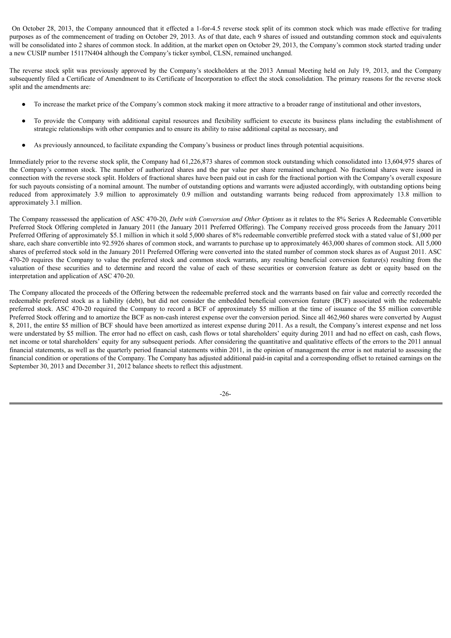On October 28, 2013, the Company announced that it effected a 1-for-4.5 reverse stock split of its common stock which was made effective for trading purposes as of the commencement of trading on October 29, 2013. As of that date, each 9 shares of issued and outstanding common stock and equivalents will be consolidated into 2 shares of common stock. In addition, at the market open on October 29, 2013, the Company's common stock started trading under a new CUSIP number 15117N404 although the Company's ticker symbol, CLSN, remained unchanged.

The reverse stock split was previously approved by the Company's stockholders at the 2013 Annual Meeting held on July 19, 2013, and the Company subsequently filed a Certificate of Amendment to its Certificate of Incorporation to effect the stock consolidation. The primary reasons for the reverse stock split and the amendments are:

- To increase the market price of the Company's common stock making it more attractive to a broader range of institutional and other investors,
- To provide the Company with additional capital resources and flexibility sufficient to execute its business plans including the establishment of strategic relationships with other companies and to ensure its ability to raise additional capital as necessary, and
- As previously announced, to facilitate expanding the Company's business or product lines through potential acquisitions.

Immediately prior to the reverse stock split, the Company had 61,226,873 shares of common stock outstanding which consolidated into 13,604,975 shares of the Company's common stock. The number of authorized shares and the par value per share remained unchanged. No fractional shares were issued in connection with the reverse stock split. Holders of fractional shares have been paid out in cash for the fractional portion with the Company's overall exposure for such payouts consisting of a nominal amount. The number of outstanding options and warrants were adjusted accordingly, with outstanding options being reduced from approximately 3.9 million to approximately 0.9 million and outstanding warrants being reduced from approximately 13.8 million to approximately 3.1 million.

The Company reassessed the application of ASC 470-20, *Debt with Conversion and Other Options* as it relates to the 8% Series A Redeemable Convertible Preferred Stock Offering completed in January 2011 (the January 2011 Preferred Offering). The Company received gross proceeds from the January 2011 Preferred Offering of approximately \$5.1 million in which it sold 5,000 shares of 8% redeemable convertible preferred stock with a stated value of \$1,000 per share, each share convertible into 92.5926 shares of common stock, and warrants to purchase up to approximately 463,000 shares of common stock. All 5,000 shares of preferred stock sold in the January 2011 Preferred Offering were converted into the stated number of common stock shares as of August 2011. ASC 470-20 requires the Company to value the preferred stock and common stock warrants, any resulting beneficial conversion feature(s) resulting from the valuation of these securities and to determine and record the value of each of these securities or conversion feature as debt or equity based on the interpretation and application of ASC 470-20.

The Company allocated the proceeds of the Offering between the redeemable preferred stock and the warrants based on fair value and correctly recorded the redeemable preferred stock as a liability (debt), but did not consider the embedded beneficial conversion feature (BCF) associated with the redeemable preferred stock. ASC 470-20 required the Company to record a BCF of approximately \$5 million at the time of issuance of the \$5 million convertible Preferred Stock offering and to amortize the BCF as non-cash interest expense over the conversion period. Since all 462,960 shares were converted by August 8, 2011, the entire \$5 million of BCF should have been amortized as interest expense during 2011. As a result, the Company's interest expense and net loss were understated by \$5 million. The error had no effect on cash, cash flows or total shareholders' equity during 2011 and had no effect on cash, cash flows, net income or total shareholders' equity for any subsequent periods. After considering the quantitative and qualitative effects of the errors to the 2011 annual financial statements, as well as the quarterly period financial statements within 2011, in the opinion of management the error is not material to assessing the financial condition or operations of the Company. The Company has adjusted additional paid-in capital and a corresponding offset to retained earnings on the September 30, 2013 and December 31, 2012 balance sheets to reflect this adjustment.

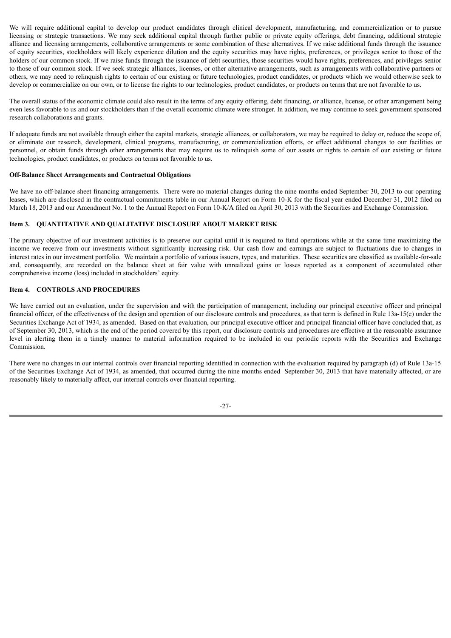We will require additional capital to develop our product candidates through clinical development, manufacturing, and commercialization or to pursue licensing or strategic transactions. We may seek additional capital through further public or private equity offerings, debt financing, additional strategic alliance and licensing arrangements, collaborative arrangements or some combination of these alternatives. If we raise additional funds through the issuance of equity securities, stockholders will likely experience dilution and the equity securities may have rights, preferences, or privileges senior to those of the holders of our common stock. If we raise funds through the issuance of debt securities, those securities would have rights, preferences, and privileges senior to those of our common stock. If we seek strategic alliances, licenses, or other alternative arrangements, such as arrangements with collaborative partners or others, we may need to relinquish rights to certain of our existing or future technologies, product candidates, or products which we would otherwise seek to develop or commercialize on our own, or to license the rights to our technologies, product candidates, or products on terms that are not favorable to us.

The overall status of the economic climate could also result in the terms of any equity offering, debt financing, or alliance, license, or other arrangement being even less favorable to us and our stockholders than if the overall economic climate were stronger. In addition, we may continue to seek government sponsored research collaborations and grants.

If adequate funds are not available through either the capital markets, strategic alliances, or collaborators, we may be required to delay or, reduce the scope of, or eliminate our research, development, clinical programs, manufacturing, or commercialization efforts, or effect additional changes to our facilities or personnel, or obtain funds through other arrangements that may require us to relinquish some of our assets or rights to certain of our existing or future technologies, product candidates, or products on terms not favorable to us.

#### **Off-Balance Sheet Arrangements and Contractual Obligations**

We have no off-balance sheet financing arrangements. There were no material changes during the nine months ended September 30, 2013 to our operating leases, which are disclosed in the contractual commitments table in our Annual Report on Form 10-K for the fiscal year ended December 31, 2012 filed on March 18, 2013 and our Amendment No. 1 to the Annual Report on Form 10-K/A filed on April 30, 2013 with the Securities and Exchange Commission.

#### **Item 3. QUANTITATIVE AND QUALITATIVE DISCLOSURE ABOUT MARKET RISK**

The primary objective of our investment activities is to preserve our capital until it is required to fund operations while at the same time maximizing the income we receive from our investments without significantly increasing risk. Our cash flow and earnings are subject to fluctuations due to changes in interest rates in our investment portfolio. We maintain a portfolio of various issuers, types, and maturities. These securities are classified as available-for-sale and, consequently, are recorded on the balance sheet at fair value with unrealized gains or losses reported as a component of accumulated other comprehensive income (loss) included in stockholders' equity.

## **Item 4. CONTROLS AND PROCEDURES**

We have carried out an evaluation, under the supervision and with the participation of management, including our principal executive officer and principal financial officer, of the effectiveness of the design and operation of our disclosure controls and procedures, as that term is defined in Rule 13a-15(e) under the Securities Exchange Act of 1934, as amended. Based on that evaluation, our principal executive officer and principal financial officer have concluded that, as of September 30, 2013, which is the end of the period covered by this report, our disclosure controls and procedures are effective at the reasonable assurance level in alerting them in a timely manner to material information required to be included in our periodic reports with the Securities and Exchange **Commission** 

There were no changes in our internal controls over financial reporting identified in connection with the evaluation required by paragraph (d) of Rule 13a-15 of the Securities Exchange Act of 1934, as amended, that occurred during the nine months ended September 30, 2013 that have materially affected, or are reasonably likely to materially affect, our internal controls over financial reporting.

-27-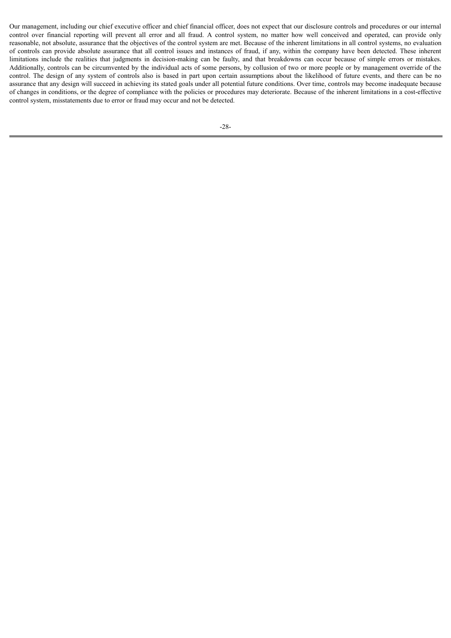Our management, including our chief executive officer and chief financial officer, does not expect that our disclosure controls and procedures or our internal control over financial reporting will prevent all error and all fraud. A control system, no matter how well conceived and operated, can provide only reasonable, not absolute, assurance that the objectives of the control system are met. Because of the inherent limitations in all control systems, no evaluation of controls can provide absolute assurance that all control issues and instances of fraud, if any, within the company have been detected. These inherent limitations include the realities that judgments in decision-making can be faulty, and that breakdowns can occur because of simple errors or mistakes. Additionally, controls can be circumvented by the individual acts of some persons, by collusion of two or more people or by management override of the control. The design of any system of controls also is based in part upon certain assumptions about the likelihood of future events, and there can be no assurance that any design will succeed in achieving its stated goals under all potential future conditions. Over time, controls may become inadequate because of changes in conditions, or the degree of compliance with the policies or procedures may deteriorate. Because of the inherent limitations in a cost-effective control system, misstatements due to error or fraud may occur and not be detected.

$$
-28
$$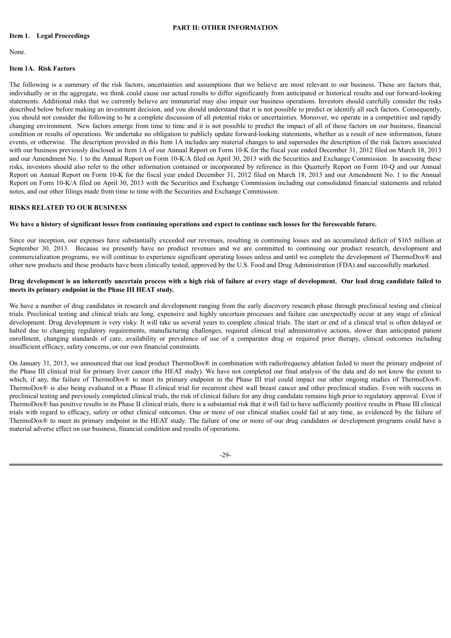### **Item 1. Legal Proceedings**

None.

#### **Item 1A. Risk Factors**

The following is a summary of the risk factors, uncertainties and assumptions that we believe are most relevant to our business. These are factors that, individually or in the aggregate, we think could cause our actual results to differ significantly from anticipated or historical results and our forward-looking statements. Additional risks that we currently believe are immaterial may also impair our business operations. Investors should carefully consider the risks described below before making an investment decision, and you should understand that it is not possible to predict or identify all such factors. Consequently, you should not consider the following to be a complete discussion of all potential risks or uncertainties. Moreover, we operate in a competitive and rapidly changing environment. New factors emerge from time to time and it is not possible to predict the impact of all of these factors on our business, financial condition or results of operations. We undertake no obligation to publicly update forward-looking statements, whether as a result of new information, future events, or otherwise. The description provided in this Item 1A includes any material changes to and supersedes the description of the risk factors associated with our business previously disclosed in Item 1A of our Annual Report on Form 10-K for the fiscal year ended December 31, 2012 filed on March 18, 2013 and our Amendment No. 1 to the Annual Report on Form 10-K/A filed on April 30, 2013 with the Securities and Exchange Commission. In assessing these risks, investors should also refer to the other information contained or incorporated by reference in this Quarterly Report on Form 10-Q and our Annual Report on Annual Report on Form 10-K for the fiscal year ended December 31, 2012 filed on March 18, 2013 and our Amendment No. 1 to the Annual Report on Form 10-K/A filed on April 30, 2013 with the Securities and Exchange Commission including our consolidated financial statements and related notes, and our other filings made from time to time with the Securities and Exchange Commission.

#### **RISKS RELATED TO OUR BUSINESS**

#### We have a history of significant losses from continuing operations and expect to continue such losses for the foreseeable future.

Since our inception, our expenses have substantially exceeded our revenues, resulting in continuing losses and an accumulated deficit of \$165 million at September 30, 2013. Because we presently have no product revenues and we are committed to continuing our product research, development and commercialization programs, we will continue to experience significant operating losses unless and until we complete the development of ThermoDox® and other new products and these products have been clinically tested, approved by the U.S. Food and Drug Administration (FDA) and successfully marketed.

## Drug development is an inherently uncertain process with a high risk of failure at every stage of development. Our lead drug candidate failed to **meets its primary endpoint in the Phase III HEAT study.**

We have a number of drug candidates in research and development ranging from the early discovery research phase through preclinical testing and clinical trials. Preclinical testing and clinical trials are long, expensive and highly uncertain processes and failure can unexpectedly occur at any stage of clinical development. Drug development is very risky. It will take us several years to complete clinical trials. The start or end of a clinical trial is often delayed or halted due to changing regulatory requirements, manufacturing challenges, required clinical trial administrative actions, slower than anticipated patient enrollment, changing standards of care, availability or prevalence of use of a comparator drug or required prior therapy, clinical outcomes including insufficient efficacy, safety concerns, or our own financial constraints.

On January 31, 2013, we announced that our lead product ThermoDox® in combination with radiofrequency ablation failed to meet the primary endpoint of the Phase III clinical trial for primary liver cancer (the HEAT study). We have not completed our final analysis of the data and do not know the extent to which, if any, the failure of ThermoDox® to meet its primary endpoint in the Phase III trial could impact our other ongoing studies of ThermoDox®. ThermoDox® is also being evaluated in a Phase II clinical trial for recurrent chest wall breast cancer and other preclinical studies. Even with success in preclinical testing and previously completed clinical trials, the risk of clinical failure for any drug candidate remains high prior to regulatory approval. Even if ThermoDox® has positive results in its Phase II clinical trials, there is a substantial risk that it will fail to have sufficiently positive results in Phase III clinical trials with regard to efficacy, safety or other clinical outcomes. One or more of our clinical studies could fail at any time, as evidenced by the failure of ThermoDox® to meet its primary endpoint in the HEAT study. The failure of one or more of our drug candidates or development programs could have a material adverse effect on our business, financial condition and results of operations.

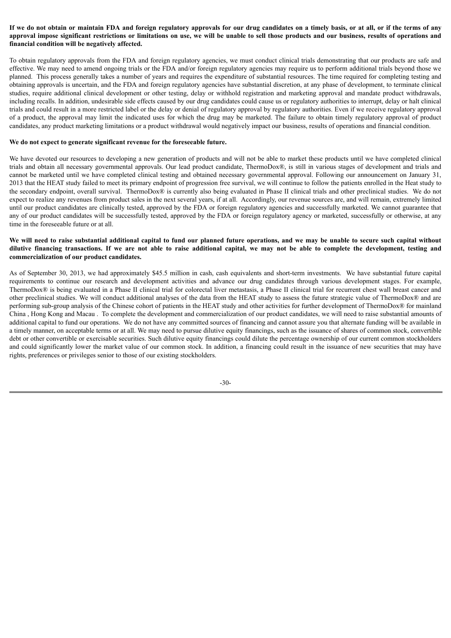### If we do not obtain or maintain FDA and foreign regulatory approvals for our drug candidates on a timely basis, or at all, or if the terms of any approval impose significant restrictions or limitations on use, we will be unable to sell those products and our business, results of operations and **financial condition will be negatively affected.**

To obtain regulatory approvals from the FDA and foreign regulatory agencies, we must conduct clinical trials demonstrating that our products are safe and effective. We may need to amend ongoing trials or the FDA and/or foreign regulatory agencies may require us to perform additional trials beyond those we planned. This process generally takes a number of years and requires the expenditure of substantial resources. The time required for completing testing and obtaining approvals is uncertain, and the FDA and foreign regulatory agencies have substantial discretion, at any phase of development, to terminate clinical studies, require additional clinical development or other testing, delay or withhold registration and marketing approval and mandate product withdrawals, including recalls. In addition, undesirable side effects caused by our drug candidates could cause us or regulatory authorities to interrupt, delay or halt clinical trials and could result in a more restricted label or the delay or denial of regulatory approval by regulatory authorities. Even if we receive regulatory approval of a product, the approval may limit the indicated uses for which the drug may be marketed. The failure to obtain timely regulatory approval of product candidates, any product marketing limitations or a product withdrawal would negatively impact our business, results of operations and financial condition.

#### **We do not expect to generate significant revenue for the foreseeable future.**

We have devoted our resources to developing a new generation of products and will not be able to market these products until we have completed clinical trials and obtain all necessary governmental approvals. Our lead product candidate, ThermoDox®, is still in various stages of development and trials and cannot be marketed until we have completed clinical testing and obtained necessary governmental approval. Following our announcement on January 31, 2013 that the HEAT study failed to meet its primary endpoint of progression free survival, we will continue to follow the patients enrolled in the Heat study to the secondary endpoint, overall survival. ThermoDox® is currently also being evaluated in Phase II clinical trials and other preclinical studies. We do not expect to realize any revenues from product sales in the next several years, if at all. Accordingly, our revenue sources are, and will remain, extremely limited until our product candidates are clinically tested, approved by the FDA or foreign regulatory agencies and successfully marketed. We cannot guarantee that any of our product candidates will be successfully tested, approved by the FDA or foreign regulatory agency or marketed, successfully or otherwise, at any time in the foreseeable future or at all.

## We will need to raise substantial additional capital to fund our planned future operations, and we may be unable to secure such capital without dilutive financing transactions. If we are not able to raise additional capital, we may not be able to complete the development, testing and **commercialization of our product candidates.**

As of September 30, 2013, we had approximately \$45.5 million in cash, cash equivalents and short-term investments. We have substantial future capital requirements to continue our research and development activities and advance our drug candidates through various development stages. For example, ThermoDox® is being evaluated in a Phase II clinical trial for colorectal liver metastasis, a Phase II clinical trial for recurrent chest wall breast cancer and other preclinical studies. We will conduct additional analyses of the data from the HEAT study to assess the future strategic value of ThermoDox® and are performing sub-group analysis of the Chinese cohort of patients in the HEAT study and other activities for further development of ThermoDox® for mainland China , Hong Kong and Macau . To complete the development and commercialization of our product candidates, we will need to raise substantial amounts of additional capital to fund our operations. We do not have any committed sources of financing and cannot assure you that alternate funding will be available in a timely manner, on acceptable terms or at all. We may need to pursue dilutive equity financings, such as the issuance of shares of common stock, convertible debt or other convertible or exercisable securities. Such dilutive equity financings could dilute the percentage ownership of our current common stockholders and could significantly lower the market value of our common stock. In addition, a financing could result in the issuance of new securities that may have rights, preferences or privileges senior to those of our existing stockholders.

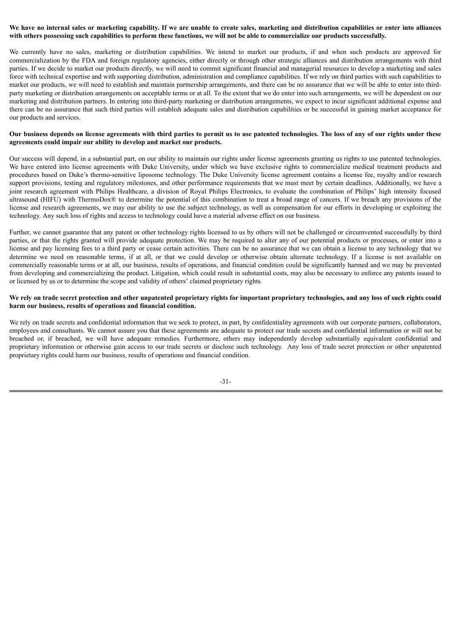### We have no internal sales or marketing capability. If we are unable to create sales, marketing and distribution capabilities or enter into alliances with others possessing such capabilities to perform these functions, we will not be able to commercialize our products successfully.

We currently have no sales, marketing or distribution capabilities. We intend to market our products, if and when such products are approved for commercialization by the FDA and foreign regulatory agencies, either directly or through other strategic alliances and distribution arrangements with third parties. If we decide to market our products directly, we will need to commit significant financial and managerial resources to develop a marketing and sales force with technical expertise and with supporting distribution, administration and compliance capabilities. If we rely on third parties with such capabilities to market our products, we will need to establish and maintain partnership arrangements, and there can be no assurance that we will be able to enter into thirdparty marketing or distribution arrangements on acceptable terms or at all. To the extent that we do enter into such arrangements, we will be dependent on our marketing and distribution partners. In entering into third-party marketing or distribution arrangements, we expect to incur significant additional expense and there can be no assurance that such third parties will establish adequate sales and distribution capabilities or be successful in gaining market acceptance for our products and services.

## Our business depends on license agreements with third parties to permit us to use patented technologies. The loss of any of our rights under these **agreements could impair our ability to develop and market our products.**

Our success will depend, in a substantial part, on our ability to maintain our rights under license agreements granting us rights to use patented technologies. We have entered into license agreements with Duke University, under which we have exclusive rights to commercialize medical treatment products and procedures based on Duke's thermo-sensitive liposome technology. The Duke University license agreement contains a license fee, royalty and/or research support provisions, testing and regulatory milestones, and other performance requirements that we must meet by certain deadlines. Additionally, we have a joint research agreement with Philips Healthcare, a division of Royal Philips Electronics, to evaluate the combination of Philips' high intensity focused ultrasound (HIFU) with ThermoDox® to determine the potential of this combination to treat a broad range of cancers. If we breach any provisions of the license and research agreements, we may our ability to use the subject technology, as well as compensation for our efforts in developing or exploiting the technology. Any such loss of rights and access to technology could have a material adverse effect on our business.

Further, we cannot guarantee that any patent or other technology rights licensed to us by others will not be challenged or circumvented successfully by third parties, or that the rights granted will provide adequate protection. We may be required to alter any of our potential products or processes, or enter into a license and pay licensing fees to a third party or cease certain activities. There can be no assurance that we can obtain a license to any technology that we determine we need on reasonable terms, if at all, or that we could develop or otherwise obtain alternate technology. If a license is not available on commercially reasonable terms or at all, our business, results of operations, and financial condition could be significantly harmed and we may be prevented from developing and commercializing the product. Litigation, which could result in substantial costs, may also be necessary to enforce any patents issued to or licensed by us or to determine the scope and validity of others' claimed proprietary rights.

## We rely on trade secret protection and other unpatented proprietary rights for important proprietary technologies, and any loss of such rights could **harm our business, results of operations and financial condition.**

We rely on trade secrets and confidential information that we seek to protect, in part, by confidentiality agreements with our corporate partners, collaborators, employees and consultants. We cannot assure you that these agreements are adequate to protect our trade secrets and confidential information or will not be breached or, if breached, we will have adequate remedies. Furthermore, others may independently develop substantially equivalent confidential and proprietary information or otherwise gain access to our trade secrets or disclose such technology. Any loss of trade secret protection or other unpatented proprietary rights could harm our business, results of operations and financial condition.

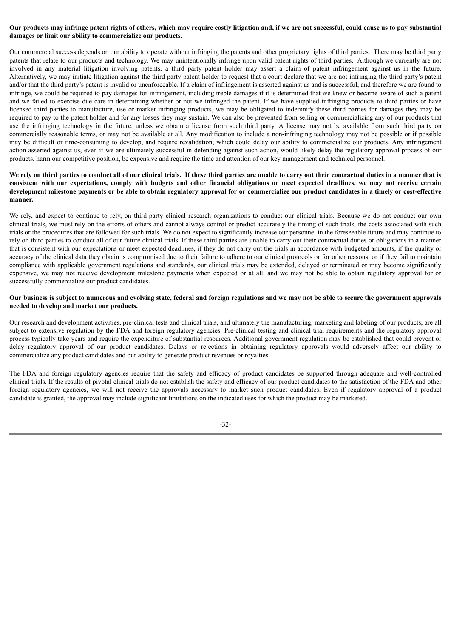## Our products may infringe patent rights of others, which may require costly litigation and, if we are not successful, could cause us to pay substantial **damages or limit our ability to commercialize our products.**

Our commercial success depends on our ability to operate without infringing the patents and other proprietary rights of third parties. There may be third party patents that relate to our products and technology. We may unintentionally infringe upon valid patent rights of third parties. Although we currently are not involved in any material litigation involving patents, a third party patent holder may assert a claim of patent infringement against us in the future. Alternatively, we may initiate litigation against the third party patent holder to request that a court declare that we are not infringing the third party's patent and/or that the third party's patent is invalid or unenforceable. If a claim of infringement is asserted against us and is successful, and therefore we are found to infringe, we could be required to pay damages for infringement, including treble damages if it is determined that we knew or became aware of such a patent and we failed to exercise due care in determining whether or not we infringed the patent. If we have supplied infringing products to third parties or have licensed third parties to manufacture, use or market infringing products, we may be obligated to indemnify these third parties for damages they may be required to pay to the patent holder and for any losses they may sustain. We can also be prevented from selling or commercializing any of our products that use the infringing technology in the future, unless we obtain a license from such third party. A license may not be available from such third party on commercially reasonable terms, or may not be available at all. Any modification to include a non-infringing technology may not be possible or if possible may be difficult or time-consuming to develop, and require revalidation, which could delay our ability to commercialize our products. Any infringement action asserted against us, even if we are ultimately successful in defending against such action, would likely delay the regulatory approval process of our products, harm our competitive position, be expensive and require the time and attention of our key management and technical personnel.

## We rely on third parties to conduct all of our clinical trials. If these third parties are unable to carry out their contractual duties in a manner that is consistent with our expectations, comply with budgets and other financial obligations or meet expected deadlines, we may not receive certain development milestone payments or be able to obtain regulatory approval for or commercialize our product candidates in a timely or cost-effective **manner.**

We rely, and expect to continue to rely, on third-party clinical research organizations to conduct our clinical trials. Because we do not conduct our own clinical trials, we must rely on the efforts of others and cannot always control or predict accurately the timing of such trials, the costs associated with such trials or the procedures that are followed for such trials. We do not expect to significantly increase our personnel in the foreseeable future and may continue to rely on third parties to conduct all of our future clinical trials. If these third parties are unable to carry out their contractual duties or obligations in a manner that is consistent with our expectations or meet expected deadlines, if they do not carry out the trials in accordance with budgeted amounts, if the quality or accuracy of the clinical data they obtain is compromised due to their failure to adhere to our clinical protocols or for other reasons, or if they fail to maintain compliance with applicable government regulations and standards, our clinical trials may be extended, delayed or terminated or may become significantly expensive, we may not receive development milestone payments when expected or at all, and we may not be able to obtain regulatory approval for or successfully commercialize our product candidates.

## Our business is subject to numerous and evolving state, federal and foreign regulations and we may not be able to secure the government approvals **needed to develop and market our products.**

Our research and development activities, pre-clinical tests and clinical trials, and ultimately the manufacturing, marketing and labeling of our products, are all subject to extensive regulation by the FDA and foreign regulatory agencies. Pre-clinical testing and clinical trial requirements and the regulatory approval process typically take years and require the expenditure of substantial resources. Additional government regulation may be established that could prevent or delay regulatory approval of our product candidates. Delays or rejections in obtaining regulatory approvals would adversely affect our ability to commercialize any product candidates and our ability to generate product revenues or royalties.

The FDA and foreign regulatory agencies require that the safety and efficacy of product candidates be supported through adequate and well-controlled clinical trials. If the results of pivotal clinical trials do not establish the safety and efficacy of our product candidates to the satisfaction of the FDA and other foreign regulatory agencies, we will not receive the approvals necessary to market such product candidates. Even if regulatory approval of a product candidate is granted, the approval may include significant limitations on the indicated uses for which the product may be marketed.

-32-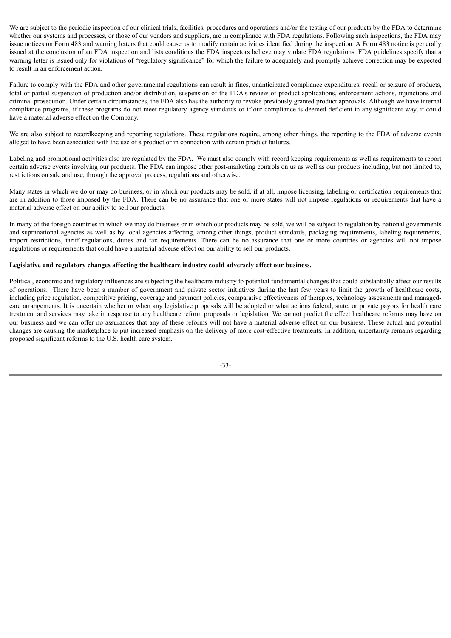We are subject to the periodic inspection of our clinical trials, facilities, procedures and operations and/or the testing of our products by the FDA to determine whether our systems and processes, or those of our vendors and suppliers, are in compliance with FDA regulations. Following such inspections, the FDA may issue notices on Form 483 and warning letters that could cause us to modify certain activities identified during the inspection. A Form 483 notice is generally issued at the conclusion of an FDA inspection and lists conditions the FDA inspectors believe may violate FDA regulations. FDA guidelines specify that a warning letter is issued only for violations of "regulatory significance" for which the failure to adequately and promptly achieve correction may be expected to result in an enforcement action.

Failure to comply with the FDA and other governmental regulations can result in fines, unanticipated compliance expenditures, recall or seizure of products, total or partial suspension of production and/or distribution, suspension of the FDA's review of product applications, enforcement actions, injunctions and criminal prosecution. Under certain circumstances, the FDA also has the authority to revoke previously granted product approvals. Although we have internal compliance programs, if these programs do not meet regulatory agency standards or if our compliance is deemed deficient in any significant way, it could have a material adverse effect on the Company.

We are also subject to recordkeeping and reporting regulations. These regulations require, among other things, the reporting to the FDA of adverse events alleged to have been associated with the use of a product or in connection with certain product failures.

Labeling and promotional activities also are regulated by the FDA. We must also comply with record keeping requirements as well as requirements to report certain adverse events involving our products. The FDA can impose other post-marketing controls on us as well as our products including, but not limited to, restrictions on sale and use, through the approval process, regulations and otherwise.

Many states in which we do or may do business, or in which our products may be sold, if at all, impose licensing, labeling or certification requirements that are in addition to those imposed by the FDA. There can be no assurance that one or more states will not impose regulations or requirements that have a material adverse effect on our ability to sell our products.

In many of the foreign countries in which we may do business or in which our products may be sold, we will be subject to regulation by national governments and supranational agencies as well as by local agencies affecting, among other things, product standards, packaging requirements, labeling requirements, import restrictions, tariff regulations, duties and tax requirements. There can be no assurance that one or more countries or agencies will not impose regulations or requirements that could have a material adverse effect on our ability to sell our products.

#### **Legislative and regulatory changes affecting the healthcare industry could adversely affect our business.**

Political, economic and regulatory influences are subjecting the healthcare industry to potential fundamental changes that could substantially affect our results of operations. There have been a number of government and private sector initiatives during the last few years to limit the growth of healthcare costs, including price regulation, competitive pricing, coverage and payment policies, comparative effectiveness of therapies, technology assessments and managedcare arrangements. It is uncertain whether or when any legislative proposals will be adopted or what actions federal, state, or private payors for health care treatment and services may take in response to any healthcare reform proposals or legislation. We cannot predict the effect healthcare reforms may have on our business and we can offer no assurances that any of these reforms will not have a material adverse effect on our business. These actual and potential changes are causing the marketplace to put increased emphasis on the delivery of more cost-effective treatments. In addition, uncertainty remains regarding proposed significant reforms to the U.S. health care system.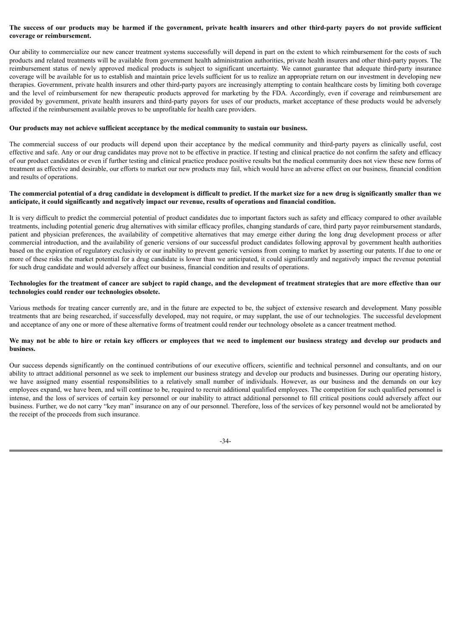## The success of our products may be harmed if the government, private health insurers and other third-party payers do not provide sufficient **coverage or reimbursement.**

Our ability to commercialize our new cancer treatment systems successfully will depend in part on the extent to which reimbursement for the costs of such products and related treatments will be available from government health administration authorities, private health insurers and other third-party payors. The reimbursement status of newly approved medical products is subject to significant uncertainty. We cannot guarantee that adequate third-party insurance coverage will be available for us to establish and maintain price levels sufficient for us to realize an appropriate return on our investment in developing new therapies. Government, private health insurers and other third-party payors are increasingly attempting to contain healthcare costs by limiting both coverage and the level of reimbursement for new therapeutic products approved for marketing by the FDA. Accordingly, even if coverage and reimbursement are provided by government, private health insurers and third-party payors for uses of our products, market acceptance of these products would be adversely affected if the reimbursement available proves to be unprofitable for health care providers.

### **Our products may not achieve sufficient acceptance by the medical community to sustain our business.**

The commercial success of our products will depend upon their acceptance by the medical community and third-party payers as clinically useful, cost effective and safe. Any or our drug candidates may prove not to be effective in practice. If testing and clinical practice do not confirm the safety and efficacy of our product candidates or even if further testing and clinical practice produce positive results but the medical community does not view these new forms of treatment as effective and desirable, our efforts to market our new products may fail, which would have an adverse effect on our business, financial condition and results of operations.

### The commercial potential of a drug candidate in development is difficult to predict. If the market size for a new drug is significantly smaller than we **anticipate, it could significantly and negatively impact our revenue, results of operations and financial condition.**

It is very difficult to predict the commercial potential of product candidates due to important factors such as safety and efficacy compared to other available treatments, including potential generic drug alternatives with similar efficacy profiles, changing standards of care, third party payor reimbursement standards, patient and physician preferences, the availability of competitive alternatives that may emerge either during the long drug development process or after commercial introduction, and the availability of generic versions of our successful product candidates following approval by government health authorities based on the expiration of regulatory exclusivity or our inability to prevent generic versions from coming to market by asserting our patents. If due to one or more of these risks the market potential for a drug candidate is lower than we anticipated, it could significantly and negatively impact the revenue potential for such drug candidate and would adversely affect our business, financial condition and results of operations.

### Technologies for the treatment of cancer are subject to rapid change, and the development of treatment strategies that are more effective than our **technologies could render our technologies obsolete.**

Various methods for treating cancer currently are, and in the future are expected to be, the subject of extensive research and development. Many possible treatments that are being researched, if successfully developed, may not require, or may supplant, the use of our technologies. The successful development and acceptance of any one or more of these alternative forms of treatment could render our technology obsolete as a cancer treatment method.

## We may not be able to hire or retain key officers or employees that we need to implement our business strategy and develop our products and **business.**

Our success depends significantly on the continued contributions of our executive officers, scientific and technical personnel and consultants, and on our ability to attract additional personnel as we seek to implement our business strategy and develop our products and businesses. During our operating history, we have assigned many essential responsibilities to a relatively small number of individuals. However, as our business and the demands on our key employees expand, we have been, and will continue to be, required to recruit additional qualified employees. The competition for such qualified personnel is intense, and the loss of services of certain key personnel or our inability to attract additional personnel to fill critical positions could adversely affect our business. Further, we do not carry "key man" insurance on any of our personnel. Therefore, loss of the services of key personnel would not be ameliorated by the receipt of the proceeds from such insurance.

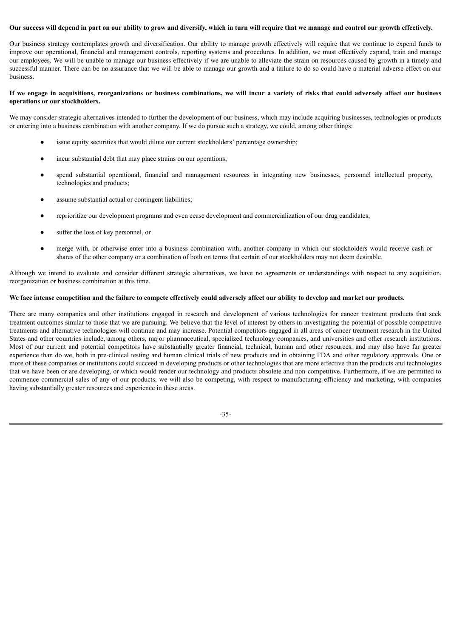#### Our success will depend in part on our ability to grow and diversify, which in turn will require that we manage and control our growth effectively.

Our business strategy contemplates growth and diversification. Our ability to manage growth effectively will require that we continue to expend funds to improve our operational, financial and management controls, reporting systems and procedures. In addition, we must effectively expand, train and manage our employees. We will be unable to manage our business effectively if we are unable to alleviate the strain on resources caused by growth in a timely and successful manner. There can be no assurance that we will be able to manage our growth and a failure to do so could have a material adverse effect on our business.

## If we engage in acquisitions, reorganizations or business combinations, we will incur a variety of risks that could adversely affect our business **operations or our stockholders.**

We may consider strategic alternatives intended to further the development of our business, which may include acquiring businesses, technologies or products or entering into a business combination with another company. If we do pursue such a strategy, we could, among other things:

- issue equity securities that would dilute our current stockholders' percentage ownership;
- incur substantial debt that may place strains on our operations;
- spend substantial operational, financial and management resources in integrating new businesses, personnel intellectual property, technologies and products;
- assume substantial actual or contingent liabilities;
- reprioritize our development programs and even cease development and commercialization of our drug candidates;
- suffer the loss of key personnel, or
- merge with, or otherwise enter into a business combination with, another company in which our stockholders would receive cash or shares of the other company or a combination of both on terms that certain of our stockholders may not deem desirable.

Although we intend to evaluate and consider different strategic alternatives, we have no agreements or understandings with respect to any acquisition, reorganization or business combination at this time.

## We face intense competition and the failure to compete effectively could adversely affect our ability to develop and market our products.

There are many companies and other institutions engaged in research and development of various technologies for cancer treatment products that seek treatment outcomes similar to those that we are pursuing. We believe that the level of interest by others in investigating the potential of possible competitive treatments and alternative technologies will continue and may increase. Potential competitors engaged in all areas of cancer treatment research in the United States and other countries include, among others, major pharmaceutical, specialized technology companies, and universities and other research institutions. Most of our current and potential competitors have substantially greater financial, technical, human and other resources, and may also have far greater experience than do we, both in pre-clinical testing and human clinical trials of new products and in obtaining FDA and other regulatory approvals. One or more of these companies or institutions could succeed in developing products or other technologies that are more effective than the products and technologies that we have been or are developing, or which would render our technology and products obsolete and non-competitive. Furthermore, if we are permitted to commence commercial sales of any of our products, we will also be competing, with respect to manufacturing efficiency and marketing, with companies having substantially greater resources and experience in these areas.

-35-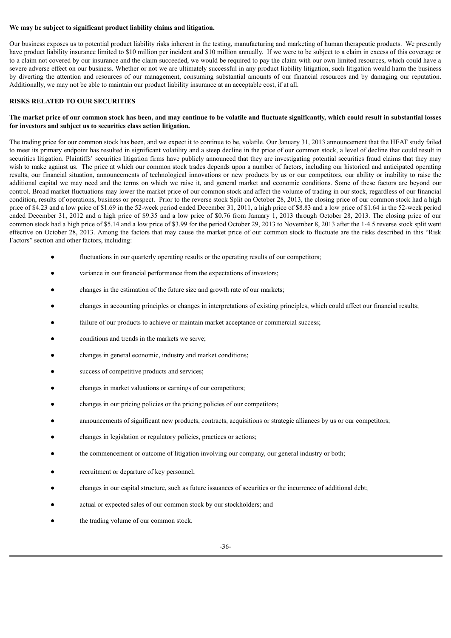#### **We may be subject to significant product liability claims and litigation.**

Our business exposes us to potential product liability risks inherent in the testing, manufacturing and marketing of human therapeutic products. We presently have product liability insurance limited to \$10 million per incident and \$10 million annually. If we were to be subject to a claim in excess of this coverage or to a claim not covered by our insurance and the claim succeeded, we would be required to pay the claim with our own limited resources, which could have a severe adverse effect on our business. Whether or not we are ultimately successful in any product liability litigation, such litigation would harm the business by diverting the attention and resources of our management, consuming substantial amounts of our financial resources and by damaging our reputation. Additionally, we may not be able to maintain our product liability insurance at an acceptable cost, if at all.

## **RISKS RELATED TO OUR SECURITIES**

## The market price of our common stock has been, and may continue to be volatile and fluctuate significantly, which could result in substantial losses **for investors and subject us to securities class action litigation.**

The trading price for our common stock has been, and we expect it to continue to be, volatile. Our January 31, 2013 announcement that the HEAT study failed to meet its primary endpoint has resulted in significant volatility and a steep decline in the price of our common stock, a level of decline that could result in securities litigation. Plaintiffs' securities litigation firms have publicly announced that they are investigating potential securities fraud claims that they may wish to make against us. The price at which our common stock trades depends upon a number of factors, including our historical and anticipated operating results, our financial situation, announcements of technological innovations or new products by us or our competitors, our ability or inability to raise the additional capital we may need and the terms on which we raise it, and general market and economic conditions. Some of these factors are beyond our control. Broad market fluctuations may lower the market price of our common stock and affect the volume of trading in our stock, regardless of our financial condition, results of operations, business or prospect. Prior to the reverse stock Split on October 28, 2013, the closing price of our common stock had a high price of \$4.23 and a low price of \$1.69 in the 52-week period ended December 31, 2011, a high price of \$8.83 and a low price of \$1.64 in the 52-week period ended December 31, 2012 and a high price of \$9.35 and a low price of \$0.76 from January 1, 2013 through October 28, 2013. The closing price of our common stock had a high price of \$5.14 and a low price of \$3.99 for the period October 29, 2013 to November 8, 2013 after the 1-4.5 reverse stock split went effective on October 28, 2013. Among the factors that may cause the market price of our common stock to fluctuate are the risks described in this "Risk Factors" section and other factors, including:

- fluctuations in our quarterly operating results or the operating results of our competitors;
- variance in our financial performance from the expectations of investors;
- changes in the estimation of the future size and growth rate of our markets;
- changes in accounting principles or changes in interpretations of existing principles, which could affect our financial results;
- failure of our products to achieve or maintain market acceptance or commercial success;
- conditions and trends in the markets we serve;
- changes in general economic, industry and market conditions;
- success of competitive products and services;
- changes in market valuations or earnings of our competitors;
- changes in our pricing policies or the pricing policies of our competitors;
- announcements of significant new products, contracts, acquisitions or strategic alliances by us or our competitors;
- changes in legislation or regulatory policies, practices or actions;
- the commencement or outcome of litigation involving our company, our general industry or both;
- recruitment or departure of key personnel;
- changes in our capital structure, such as future issuances of securities or the incurrence of additional debt;
- actual or expected sales of our common stock by our stockholders; and
- the trading volume of our common stock.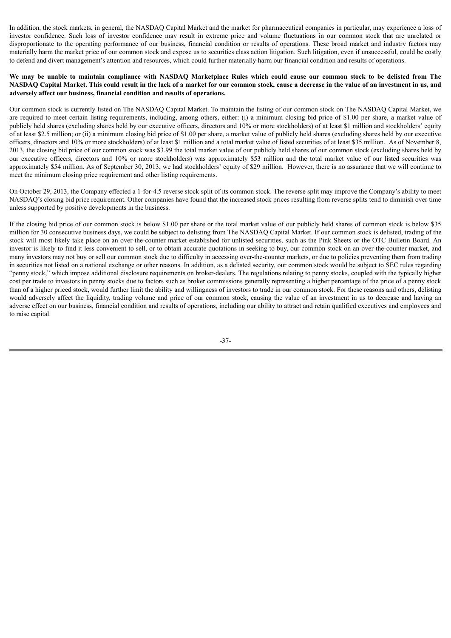In addition, the stock markets, in general, the NASDAQ Capital Market and the market for pharmaceutical companies in particular, may experience a loss of investor confidence. Such loss of investor confidence may result in extreme price and volume fluctuations in our common stock that are unrelated or disproportionate to the operating performance of our business, financial condition or results of operations. These broad market and industry factors may materially harm the market price of our common stock and expose us to securities class action litigation. Such litigation, even if unsuccessful, could be costly to defend and divert management's attention and resources, which could further materially harm our financial condition and results of operations.

We may be unable to maintain compliance with NASDAO Marketplace Rules which could cause our common stock to be delisted from The NASDAQ Capital Market. This could result in the lack of a market for our common stock, cause a decrease in the value of an investment in us, and **adversely affect our business, financial condition and results of operations.**

Our common stock is currently listed on The NASDAQ Capital Market. To maintain the listing of our common stock on The NASDAQ Capital Market, we are required to meet certain listing requirements, including, among others, either: (i) a minimum closing bid price of \$1.00 per share, a market value of publicly held shares (excluding shares held by our executive officers, directors and 10% or more stockholders) of at least \$1 million and stockholders' equity of at least \$2.5 million; or (ii) a minimum closing bid price of \$1.00 per share, a market value of publicly held shares (excluding shares held by our executive officers, directors and 10% or more stockholders) of at least \$1 million and a total market value of listed securities of at least \$35 million. As of November 8, 2013, the closing bid price of our common stock was \$3.99 the total market value of our publicly held shares of our common stock (excluding shares held by our executive officers, directors and 10% or more stockholders) was approximately \$53 million and the total market value of our listed securities was approximately \$54 million. As of September 30, 2013, we had stockholders' equity of \$29 million. However, there is no assurance that we will continue to meet the minimum closing price requirement and other listing requirements.

On October 29, 2013, the Company effected a 1-for-4.5 reverse stock split of its common stock. The reverse split may improve the Company's ability to meet NASDAQ's closing bid price requirement. Other companies have found that the increased stock prices resulting from reverse splits tend to diminish over time unless supported by positive developments in the business.

If the closing bid price of our common stock is below \$1.00 per share or the total market value of our publicly held shares of common stock is below \$35 million for 30 consecutive business days, we could be subject to delisting from The NASDAQ Capital Market. If our common stock is delisted, trading of the stock will most likely take place on an over-the-counter market established for unlisted securities, such as the Pink Sheets or the OTC Bulletin Board. An investor is likely to find it less convenient to sell, or to obtain accurate quotations in seeking to buy, our common stock on an over-the-counter market, and many investors may not buy or sell our common stock due to difficulty in accessing over-the-counter markets, or due to policies preventing them from trading in securities not listed on a national exchange or other reasons. In addition, as a delisted security, our common stock would be subject to SEC rules regarding "penny stock," which impose additional disclosure requirements on broker-dealers. The regulations relating to penny stocks, coupled with the typically higher cost per trade to investors in penny stocks due to factors such as broker commissions generally representing a higher percentage of the price of a penny stock than of a higher priced stock, would further limit the ability and willingness of investors to trade in our common stock. For these reasons and others, delisting would adversely affect the liquidity, trading volume and price of our common stock, causing the value of an investment in us to decrease and having an adverse effect on our business, financial condition and results of operations, including our ability to attract and retain qualified executives and employees and to raise capital.

-37-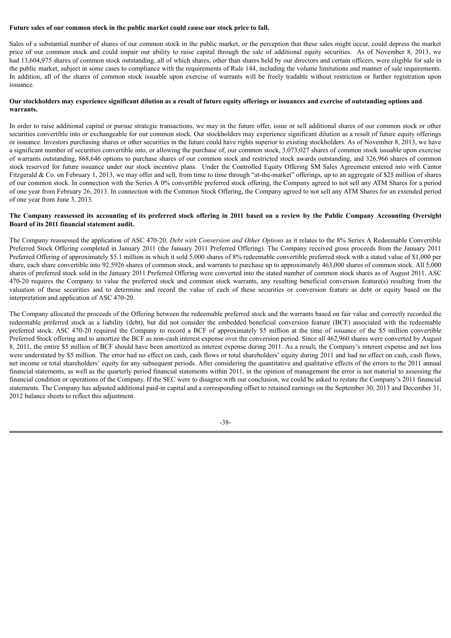### **Future sales of our common stock in the public market could cause our stock price to fall.**

Sales of a substantial number of shares of our common stock in the public market, or the perception that these sales might occur, could depress the market price of our common stock and could impair our ability to raise capital through the sale of additional equity securities. As of November 8, 2013, we had 13,604,975 shares of common stock outstanding, all of which shares, other than shares held by our directors and certain officers, were eligible for sale in the public market, subject in some cases to compliance with the requirements of Rule 144, including the volume limitations and manner of sale requirements. In addition, all of the shares of common stock issuable upon exercise of warrants will be freely tradable without restriction or further registration upon issuance.

#### Our stockholders may experience significant dilution as a result of future equity offerings or issuances and exercise of outstanding options and **warrants.**

In order to raise additional capital or pursue strategic transactions, we may in the future offer, issue or sell additional shares of our common stock or other securities convertible into or exchangeable for our common stock. Our stockholders may experience significant dilution as a result of future equity offerings or issuance. Investors purchasing shares or other securities in the future could have rights superior to existing stockholders. As of November 8, 2013, we have a significant number of securities convertible into, or allowing the purchase of, our common stock, 3,073,027 shares of common stock issuable upon exercise of warrants outstanding, 868,646 options to purchase shares of our common stock and restricted stock awards outstanding, and 326,966 shares of common stock reserved for future issuance under our stock incentive plans. Under the Controlled Equity Offering SM Sales Agreement entered into with Cantor Fitzgerald & Co. on February 1, 2013, we may offer and sell, from time to time through "at-the-market" offerings, up to an aggregate of \$25 million of shares of our common stock. In connection with the Series A 0% convertible preferred stock offering, the Company agreed to not sell any ATM Shares for a period of one year from February 26, 2013. In connection with the Common Stock Offering, the Company agreed to not sell any ATM Shares for an extended period of one year from June 3, 2013.

### The Company reassessed its accounting of its preferred stock offering in 2011 based on a review by the Public Company Accounting Oversight **Board of its 2011 financial statement audit.**

The Company reassessed the application of ASC 470-20, *Debt with Conversion and Other Options* as it relates to the 8% Series A Redeemable Convertible Preferred Stock Offering completed in January 2011 (the January 2011 Preferred Offering). The Company received gross proceeds from the January 2011 Preferred Offering of approximately \$5.1 million in which it sold 5,000 shares of 8% redeemable convertible preferred stock with a stated value of \$1,000 per share, each share convertible into 92.5926 shares of common stock, and warrants to purchase up to approximately 463,000 shares of common stock. All 5,000 shares of preferred stock sold in the January 2011 Preferred Offering were converted into the stated number of common stock shares as of August 2011. ASC 470-20 requires the Company to value the preferred stock and common stock warrants, any resulting beneficial conversion feature(s) resulting from the valuation of these securities and to determine and record the value of each of these securities or conversion feature as debt or equity based on the interpretation and application of ASC 470-20.

The Company allocated the proceeds of the Offering between the redeemable preferred stock and the warrants based on fair value and correctly recorded the redeemable preferred stock as a liability (debt), but did not consider the embedded beneficial conversion feature (BCF) associated with the redeemable preferred stock. ASC 470-20 required the Company to record a BCF of approximately \$5 million at the time of issuance of the \$5 million convertible Preferred Stock offering and to amortize the BCF as non-cash interest expense over the conversion period. Since all 462,960 shares were converted by August 8, 2011, the entire \$5 million of BCF should have been amortized as interest expense during 2011. As a result, the Company's interest expense and net loss were understated by \$5 million. The error had no effect on cash, cash flows or total shareholders' equity during 2011 and had no effect on cash, cash flows, net income or total shareholders' equity for any subsequent periods. After considering the quantitative and qualitative effects of the errors to the 2011 annual financial statements, as well as the quarterly period financial statements within 2011, in the opinion of management the error is not material to assessing the financial condition or operations of the Company. If the SEC were to disagree with our conclusion, we could be asked to restate the Company's 2011 financial statements. The Company has adjusted additional paid-in capital and a corresponding offset to retained earnings on the September 30, 2013 and December 31, 2012 balance sheets to reflect this adjustment.

-38-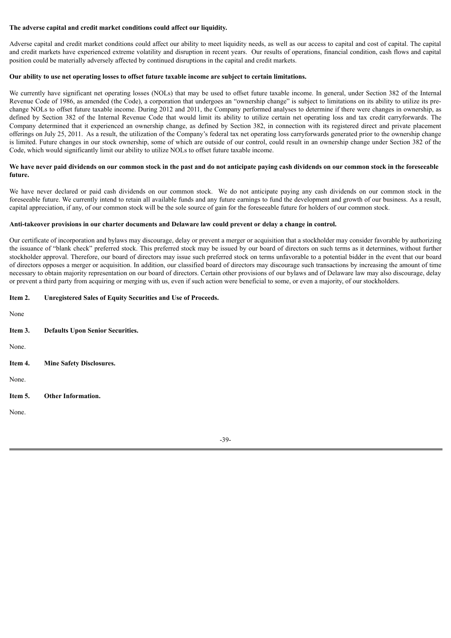## **The adverse capital and credit market conditions could affect our liquidity.**

Adverse capital and credit market conditions could affect our ability to meet liquidity needs, as well as our access to capital and cost of capital. The capital and credit markets have experienced extreme volatility and disruption in recent years. Our results of operations, financial condition, cash flows and capital position could be materially adversely affected by continued disruptions in the capital and credit markets.

## Our ability to use net operating losses to offset future taxable income are subject to certain limitations.

We currently have significant net operating losses (NOLs) that may be used to offset future taxable income. In general, under Section 382 of the Internal Revenue Code of 1986, as amended (the Code), a corporation that undergoes an "ownership change" is subject to limitations on its ability to utilize its prechange NOLs to offset future taxable income. During 2012 and 2011, the Company performed analyses to determine if there were changes in ownership, as defined by Section 382 of the Internal Revenue Code that would limit its ability to utilize certain net operating loss and tax credit carryforwards. The Company determined that it experienced an ownership change, as defined by Section 382, in connection with its registered direct and private placement offerings on July 25, 2011. As a result, the utilization of the Company's federal tax net operating loss carryforwards generated prior to the ownership change is limited. Future changes in our stock ownership, some of which are outside of our control, could result in an ownership change under Section 382 of the Code, which would significantly limit our ability to utilize NOLs to offset future taxable income.

### We have never paid dividends on our common stock in the past and do not anticipate paying cash dividends on our common stock in the foreseeable **future.**

We have never declared or paid cash dividends on our common stock. We do not anticipate paying any cash dividends on our common stock in the foreseeable future. We currently intend to retain all available funds and any future earnings to fund the development and growth of our business. As a result, capital appreciation, if any, of our common stock will be the sole source of gain for the foreseeable future for holders of our common stock.

## Anti-takeover provisions in our charter documents and Delaware law could prevent or delay a change in control.

Our certificate of incorporation and bylaws may discourage, delay or prevent a merger or acquisition that a stockholder may consider favorable by authorizing the issuance of "blank check" preferred stock. This preferred stock may be issued by our board of directors on such terms as it determines, without further stockholder approval. Therefore, our board of directors may issue such preferred stock on terms unfavorable to a potential bidder in the event that our board of directors opposes a merger or acquisition. In addition, our classified board of directors may discourage such transactions by increasing the amount of time necessary to obtain majority representation on our board of directors. Certain other provisions of our bylaws and of Delaware law may also discourage, delay or prevent a third party from acquiring or merging with us, even if such action were beneficial to some, or even a majority, of our stockholders.

# **Item 2. Unregistered Sales of Equity Securities and Use of Proceeds.**

| <b>Defaults Upon Senior Securities.</b> |
|-----------------------------------------|
|                                         |
| <b>Mine Safety Disclosures.</b>         |
|                                         |
| <b>Other Information.</b>               |
|                                         |
|                                         |

-39-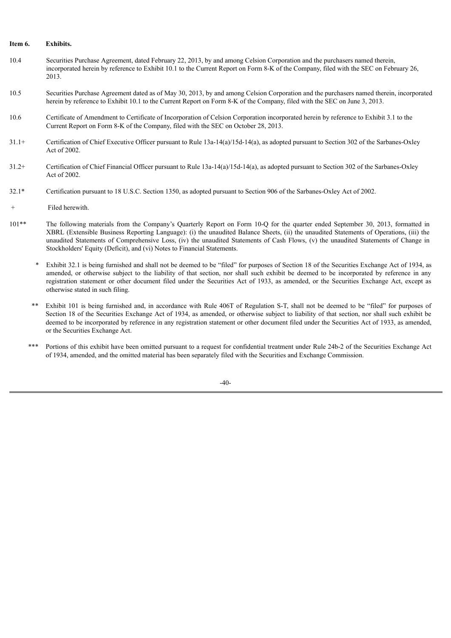#### **Item 6. Exhibits.**

- 10.4 Securities Purchase Agreement, dated February 22, 2013, by and among Celsion Corporation and the purchasers named therein, incorporated herein by reference to Exhibit 10.1 to the Current Report on Form 8-K of the Company, filed with the SEC on February 26, 2013.
- 10.5 Securities Purchase Agreement dated as of May 30, 2013, by and among Celsion Corporation and the purchasers named therein, incorporated herein by reference to Exhibit 10.1 to the Current Report on Form 8-K of the Company, filed with the SEC on June 3, 2013.
- 10.6 Certificate of Amendment to Certificate of Incorporation of Celsion Corporation incorporated herein by reference to Exhibit 3.1 to the Current Report on Form 8-K of the Company, filed with the SEC on October 28, 2013.
- 31.1+ Certification of Chief Executive Officer pursuant to Rule 13a-14(a)/15d-14(a), as adopted pursuant to Section 302 of the Sarbanes-Oxley Act of 2002.
- 31.2+ Certification of Chief Financial Officer pursuant to Rule 13a-14(a)/15d-14(a), as adopted pursuant to Section 302 of the Sarbanes-Oxley Act of 2002.
- 32.1\* Certification pursuant to 18 U.S.C. Section 1350, as adopted pursuant to Section 906 of the Sarbanes-Oxley Act of 2002.
- Filed herewith.
- 101\*\* The following materials from the Company's Quarterly Report on Form 10-Q for the quarter ended September 30, 2013, formatted in XBRL (Extensible Business Reporting Language): (i) the unaudited Balance Sheets, (ii) the unaudited Statements of Operations, (iii) the unaudited Statements of Comprehensive Loss, (iv) the unaudited Statements of Cash Flows, (v) the unaudited Statements of Change in Stockholders' Equity (Deficit), and (vi) Notes to Financial Statements.
	- \* Exhibit 32.1 is being furnished and shall not be deemed to be "filed" for purposes of Section 18 of the Securities Exchange Act of 1934, as amended, or otherwise subject to the liability of that section, nor shall such exhibit be deemed to be incorporated by reference in any registration statement or other document filed under the Securities Act of 1933, as amended, or the Securities Exchange Act, except as otherwise stated in such filing.
	- \*\* Exhibit 101 is being furnished and, in accordance with Rule 406T of Regulation S-T, shall not be deemed to be "filed" for purposes of Section 18 of the Securities Exchange Act of 1934, as amended, or otherwise subject to liability of that section, nor shall such exhibit be deemed to be incorporated by reference in any registration statement or other document filed under the Securities Act of 1933, as amended, or the Securities Exchange Act.
	- \*\*\* Portions of this exhibit have been omitted pursuant to a request for confidential treatment under Rule 24b-2 of the Securities Exchange Act of 1934, amended, and the omitted material has been separately filed with the Securities and Exchange Commission.

-40-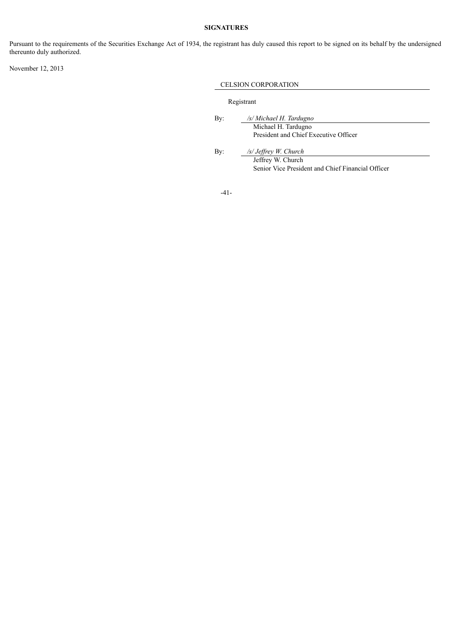## **SIGNATURES**

Pursuant to the requirements of the Securities Exchange Act of 1934, the registrant has duly caused this report to be signed on its behalf by the undersigned thereunto duly authorized.

November 12, 2013

#### CELSION CORPORATION

## Registrant

| By: | /s/ Michael H. Tardugno               |  |
|-----|---------------------------------------|--|
|     | Michael H. Tardugno                   |  |
|     | President and Chief Executive Officer |  |
|     |                                       |  |

By: */s/ Jef rey W. Church* Jeffrey W. Church Senior Vice President and Chief Financial Officer

-41-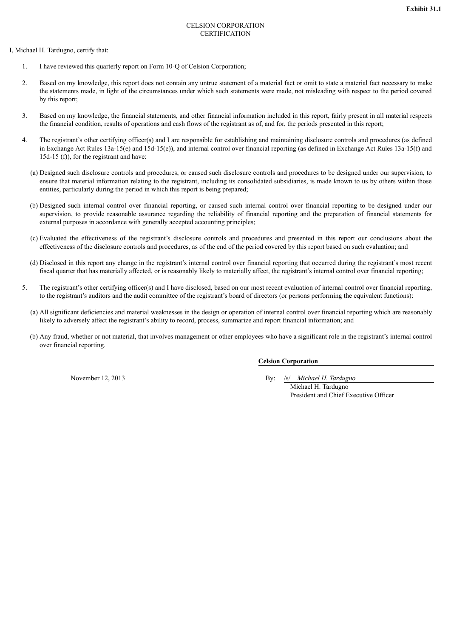## CELSION CORPORATION **CERTIFICATION**

I, Michael H. Tardugno, certify that:

- 1. I have reviewed this quarterly report on Form 10-Q of Celsion Corporation;
- 2. Based on my knowledge, this report does not contain any untrue statement of a material fact or omit to state a material fact necessary to make the statements made, in light of the circumstances under which such statements were made, not misleading with respect to the period covered by this report;
- 3. Based on my knowledge, the financial statements, and other financial information included in this report, fairly present in all material respects the financial condition, results of operations and cash flows of the registrant as of, and for, the periods presented in this report;
- 4. The registrant's other certifying officer(s) and I are responsible for establishing and maintaining disclosure controls and procedures (as defined in Exchange Act Rules 13a-15(e) and 15d-15(e)), and internal control over financial reporting (as defined in Exchange Act Rules 13a-15(f) and 15d-15 (f)), for the registrant and have:
	- (a) Designed such disclosure controls and procedures, or caused such disclosure controls and procedures to be designed under our supervision, to ensure that material information relating to the registrant, including its consolidated subsidiaries, is made known to us by others within those entities, particularly during the period in which this report is being prepared;
	- (b) Designed such internal control over financial reporting, or caused such internal control over financial reporting to be designed under our supervision, to provide reasonable assurance regarding the reliability of financial reporting and the preparation of financial statements for external purposes in accordance with generally accepted accounting principles;
	- (c) Evaluated the effectiveness of the registrant's disclosure controls and procedures and presented in this report our conclusions about the effectiveness of the disclosure controls and procedures, as of the end of the period covered by this report based on such evaluation; and
	- (d) Disclosed in this report any change in the registrant's internal control over financial reporting that occurred during the registrant's most recent fiscal quarter that has materially affected, or is reasonably likely to materially affect, the registrant's internal control over financial reporting;
- 5. The registrant's other certifying officer(s) and I have disclosed, based on our most recent evaluation of internal control over financial reporting, to the registrant's auditors and the audit committee of the registrant's board of directors (or persons performing the equivalent functions):
	- (a) All significant deficiencies and material weaknesses in the design or operation of internal control over financial reporting which are reasonably likely to adversely affect the registrant's ability to record, process, summarize and report financial information; and
	- (b) Any fraud, whether or not material, that involves management or other employees who have a significant role in the registrant's internal control over financial reporting.

**Celsion Corporation**

November 12, 2013 By: /s/ *Michael H. Tardugno*

Michael H. Tardugno President and Chief Executive Officer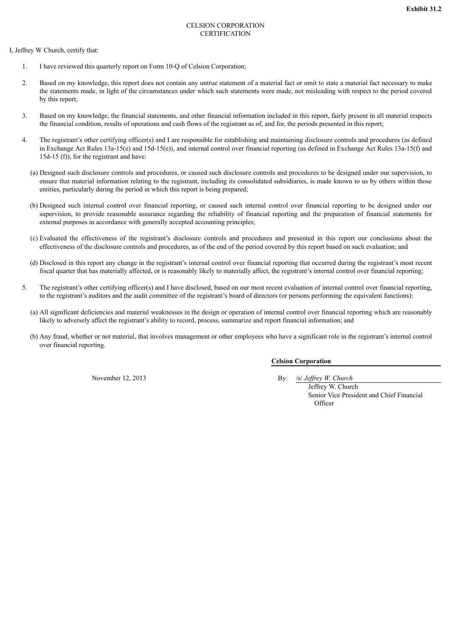## CELSION CORPORATION **CERTIFICATION**

I, Jeffrey W Church, certify that:

- 1. I have reviewed this quarterly report on Form 10-Q of Celsion Corporation;
- 2. Based on my knowledge, this report does not contain any untrue statement of a material fact or omit to state a material fact necessary to make the statements made, in light of the circumstances under which such statements were made, not misleading with respect to the period covered by this report;
- 3. Based on my knowledge, the financial statements, and other financial information included in this report, fairly present in all material respects the financial condition, results of operations and cash flows of the registrant as of, and for, the periods presented in this report;
- 4. The registrant's other certifying officer(s) and I are responsible for establishing and maintaining disclosure controls and procedures (as defined in Exchange Act Rules 13a-15(e) and 15d-15(e)), and internal control over financial reporting (as defined in Exchange Act Rules 13a-15(f) and 15d-15 (f)), for the registrant and have:
	- (a) Designed such disclosure controls and procedures, or caused such disclosure controls and procedures to be designed under our supervision, to ensure that material information relating to the registrant, including its consolidated subsidiaries, is made known to us by others within those entities, particularly during the period in which this report is being prepared;
	- (b) Designed such internal control over financial reporting, or caused such internal control over financial reporting to be designed under our supervision, to provide reasonable assurance regarding the reliability of financial reporting and the preparation of financial statements for external purposes in accordance with generally accepted accounting principles;
	- (c) Evaluated the effectiveness of the registrant's disclosure controls and procedures and presented in this report our conclusions about the effectiveness of the disclosure controls and procedures, as of the end of the period covered by this report based on such evaluation; and
	- (d) Disclosed in this report any change in the registrant's internal control over financial reporting that occurred during the registrant's most recent fiscal quarter that has materially affected, or is reasonably likely to materially affect, the registrant's internal control over financial reporting;
- 5. The registrant's other certifying officer(s) and I have disclosed, based on our most recent evaluation of internal control over financial reporting, to the registrant's auditors and the audit committee of the registrant's board of directors (or persons performing the equivalent functions):
	- (a) All significant deficiencies and material weaknesses in the design or operation of internal control over financial reporting which are reasonably likely to adversely affect the registrant's ability to record, process, summarize and report financial information; and
	- (b) Any fraud, whether or not material, that involves management or other employees who have a significant role in the registrant's internal control over financial reporting.

**Celsion Corporation**

# November 12, 2013 By: /s/ *Jef rey W. Church*

Jeffrey W. Church Senior Vice President and Chief Financial **Officer**